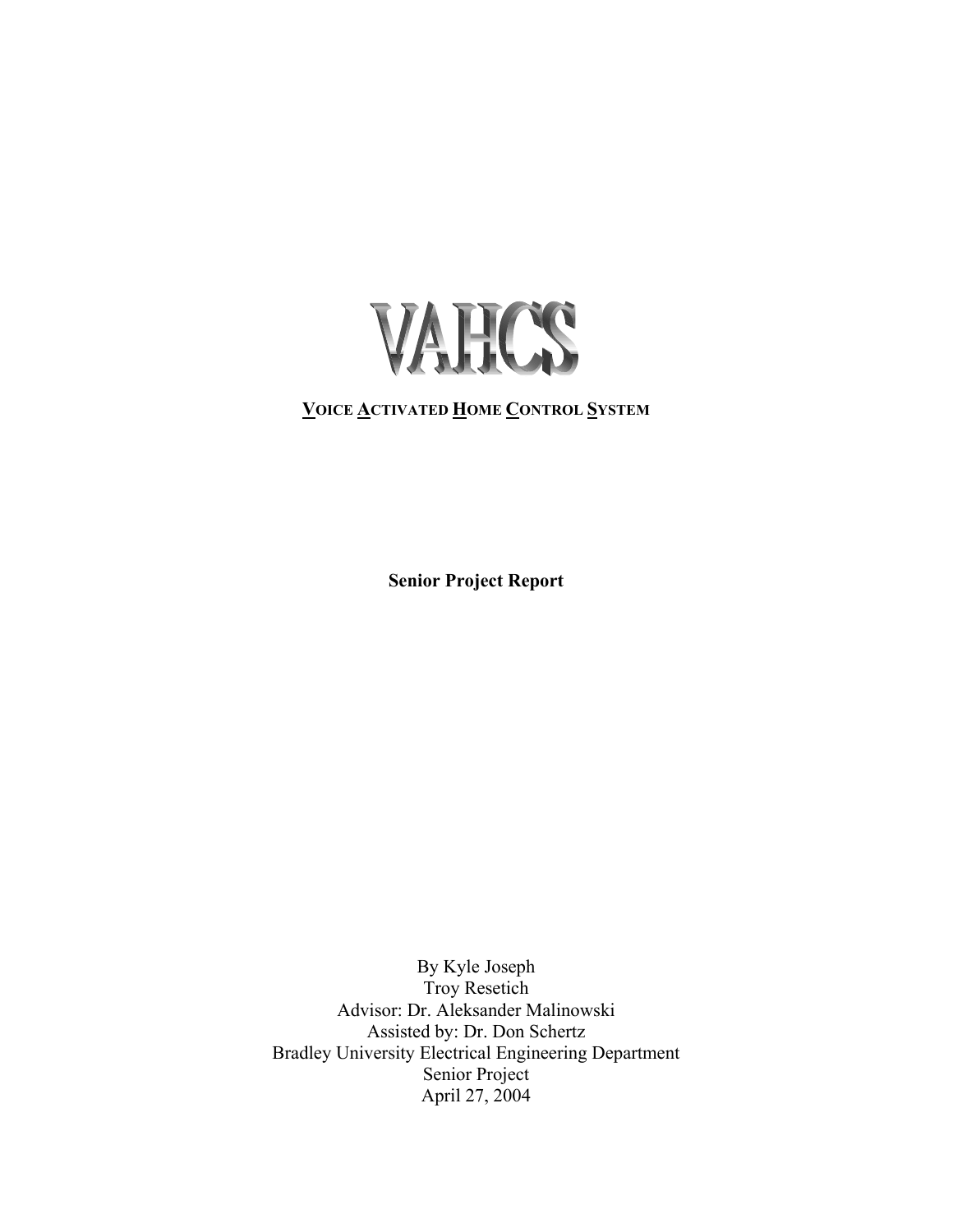

# **VOICE ACTIVATED HOME CONTROL SYSTEM**

**Senior Project Report**

By Kyle Joseph Troy Resetich Advisor: Dr. Aleksander Malinowski Assisted by: Dr. Don Schertz Bradley University Electrical Engineering Department Senior Project April 27, 2004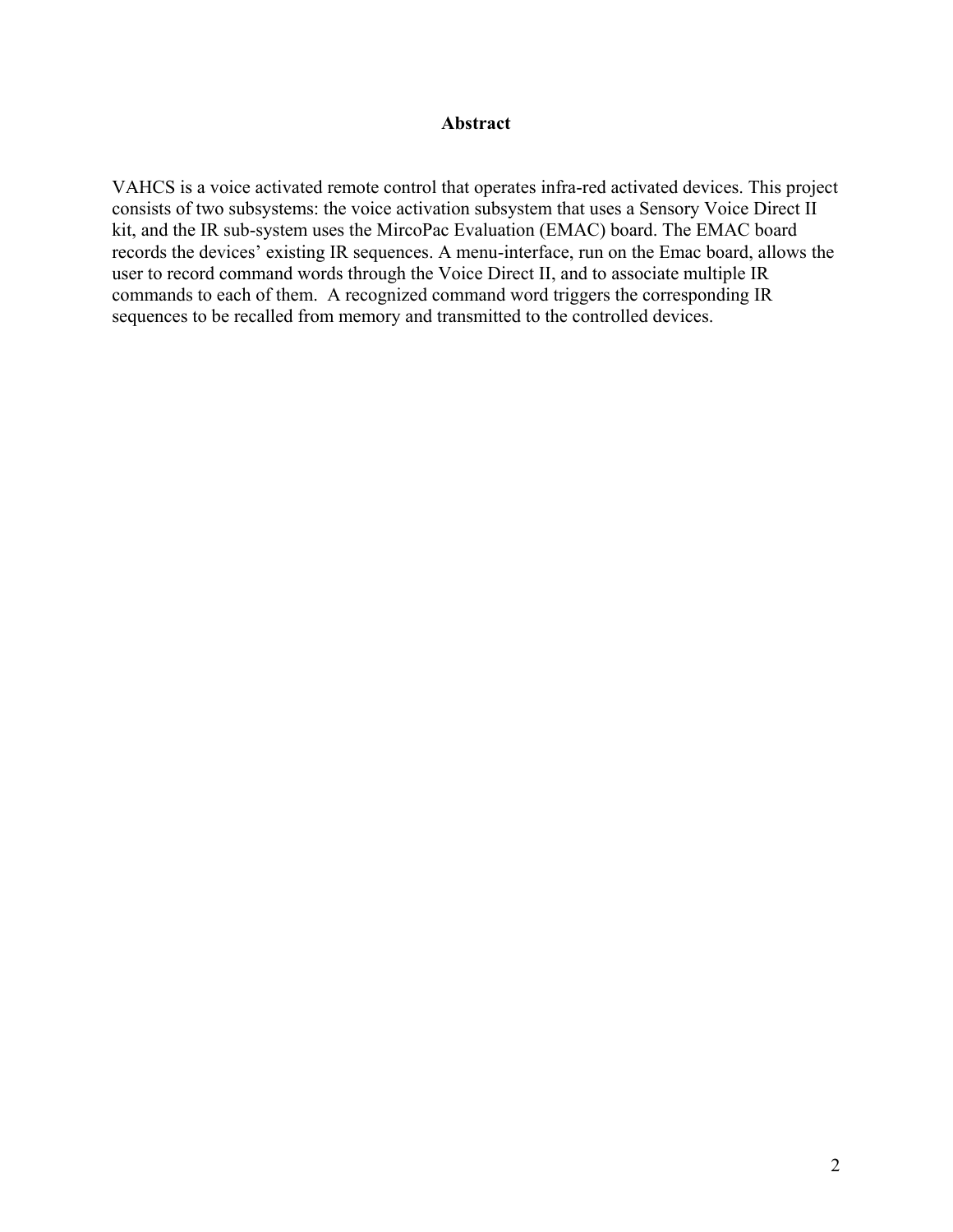### **Abstract**

VAHCS is a voice activated remote control that operates infra-red activated devices. This project consists of two subsystems: the voice activation subsystem that uses a Sensory Voice Direct II kit, and the IR sub-system uses the MircoPac Evaluation (EMAC) board. The EMAC board records the devices' existing IR sequences. A menu-interface, run on the Emac board, allows the user to record command words through the Voice Direct II, and to associate multiple IR commands to each of them. A recognized command word triggers the corresponding IR sequences to be recalled from memory and transmitted to the controlled devices.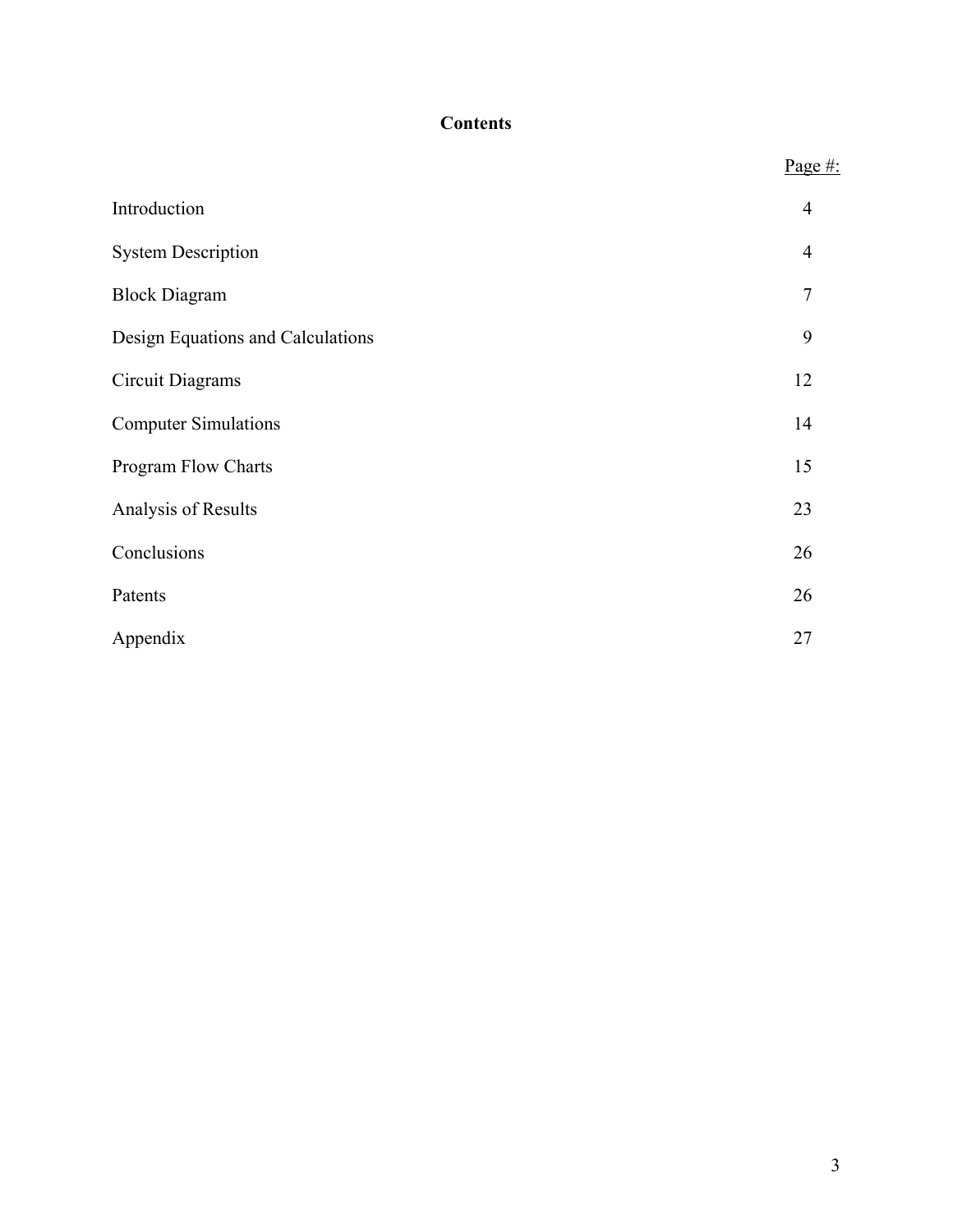# **Contents**

|                                   | Page $#$ :     |
|-----------------------------------|----------------|
| Introduction                      | $\overline{4}$ |
| <b>System Description</b>         | $\overline{4}$ |
| <b>Block Diagram</b>              | $\tau$         |
| Design Equations and Calculations | 9              |
| <b>Circuit Diagrams</b>           | 12             |
| <b>Computer Simulations</b>       | 14             |
| Program Flow Charts               | 15             |
| Analysis of Results               | 23             |
| Conclusions                       | 26             |
| Patents                           | 26             |
| Appendix                          | 27             |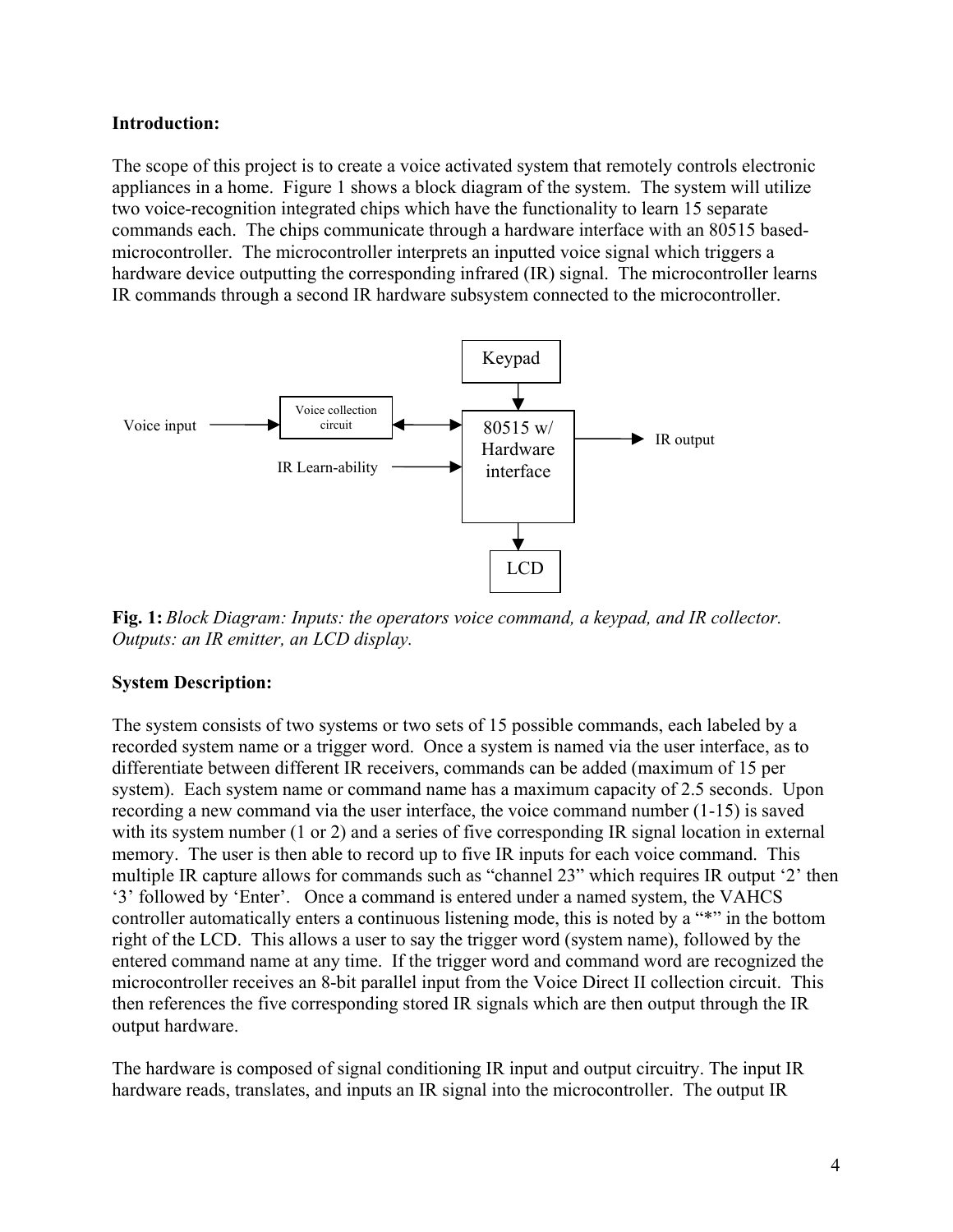## **Introduction:**

The scope of this project is to create a voice activated system that remotely controls electronic appliances in a home. Figure 1 shows a block diagram of the system. The system will utilize two voice-recognition integrated chips which have the functionality to learn 15 separate commands each. The chips communicate through a hardware interface with an 80515 basedmicrocontroller. The microcontroller interprets an inputted voice signal which triggers a hardware device outputting the corresponding infrared (IR) signal. The microcontroller learns IR commands through a second IR hardware subsystem connected to the microcontroller.



**Fig. 1:** *Block Diagram: Inputs: the operators voice command, a keypad, and IR collector. Outputs: an IR emitter, an LCD display.*

### **System Description:**

The system consists of two systems or two sets of 15 possible commands, each labeled by a recorded system name or a trigger word. Once a system is named via the user interface, as to differentiate between different IR receivers, commands can be added (maximum of 15 per system). Each system name or command name has a maximum capacity of 2.5 seconds. Upon recording a new command via the user interface, the voice command number (1-15) is saved with its system number (1 or 2) and a series of five corresponding IR signal location in external memory. The user is then able to record up to five IR inputs for each voice command. This multiple IR capture allows for commands such as "channel 23" which requires IR output '2' then '3' followed by 'Enter'. Once a command is entered under a named system, the VAHCS controller automatically enters a continuous listening mode, this is noted by a "\*" in the bottom right of the LCD. This allows a user to say the trigger word (system name), followed by the entered command name at any time. If the trigger word and command word are recognized the microcontroller receives an 8-bit parallel input from the Voice Direct II collection circuit. This then references the five corresponding stored IR signals which are then output through the IR output hardware.

The hardware is composed of signal conditioning IR input and output circuitry. The input IR hardware reads, translates, and inputs an IR signal into the microcontroller. The output IR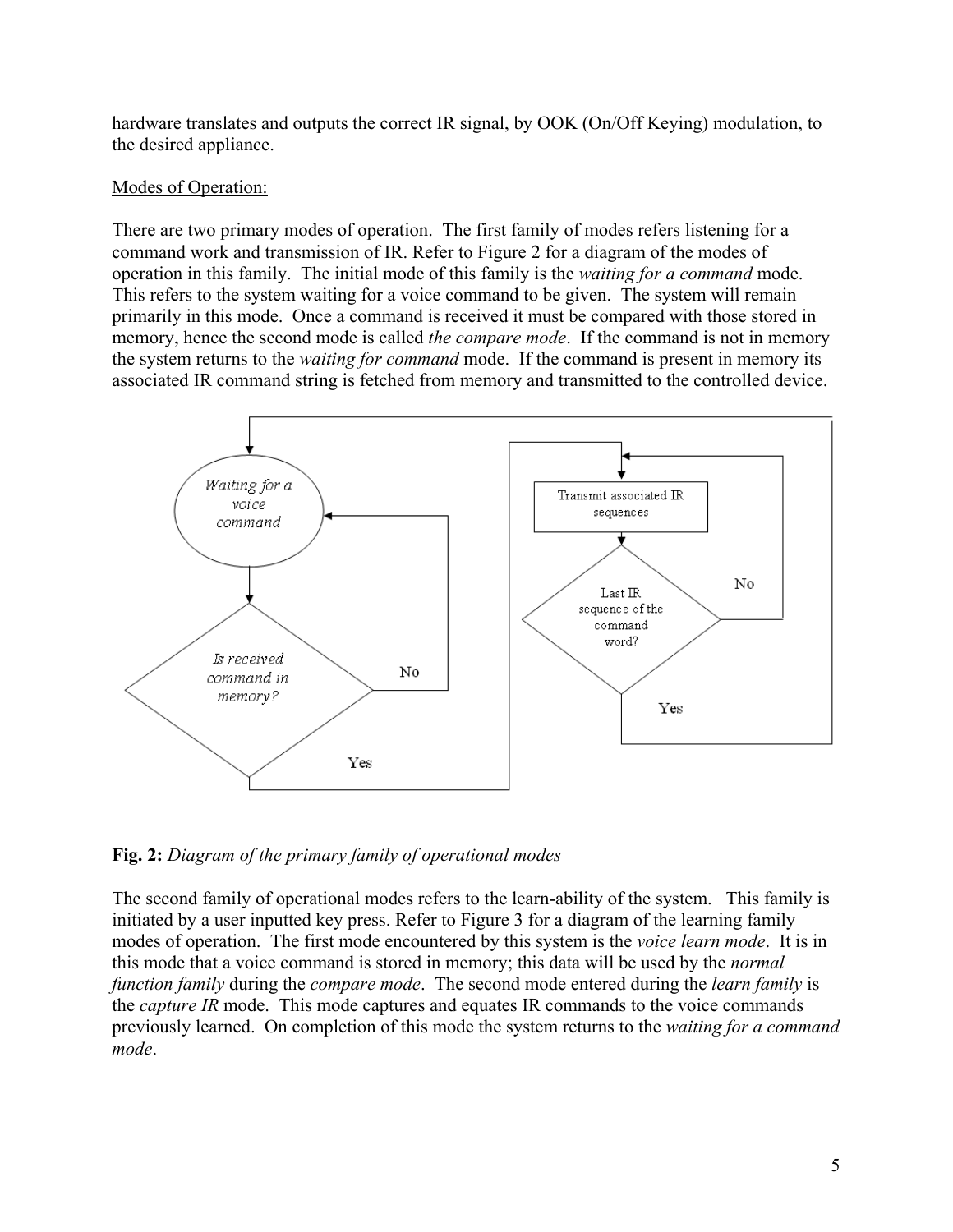hardware translates and outputs the correct IR signal, by OOK (On/Off Keying) modulation, to the desired appliance.

# Modes of Operation:

There are two primary modes of operation. The first family of modes refers listening for a command work and transmission of IR. Refer to Figure 2 for a diagram of the modes of operation in this family. The initial mode of this family is the *waiting for a command* mode. This refers to the system waiting for a voice command to be given. The system will remain primarily in this mode. Once a command is received it must be compared with those stored in memory, hence the second mode is called *the compare mode*. If the command is not in memory the system returns to the *waiting for command* mode. If the command is present in memory its associated IR command string is fetched from memory and transmitted to the controlled device.



**Fig. 2:** *Diagram of the primary family of operational modes*

The second family of operational modes refers to the learn-ability of the system. This family is initiated by a user inputted key press. Refer to Figure 3 for a diagram of the learning family modes of operation. The first mode encountered by this system is the *voice learn mode*. It is in this mode that a voice command is stored in memory; this data will be used by the *normal function family* during the *compare mode*. The second mode entered during the *learn family* is the *capture IR* mode. This mode captures and equates IR commands to the voice commands previously learned. On completion of this mode the system returns to the *waiting for a command mode*.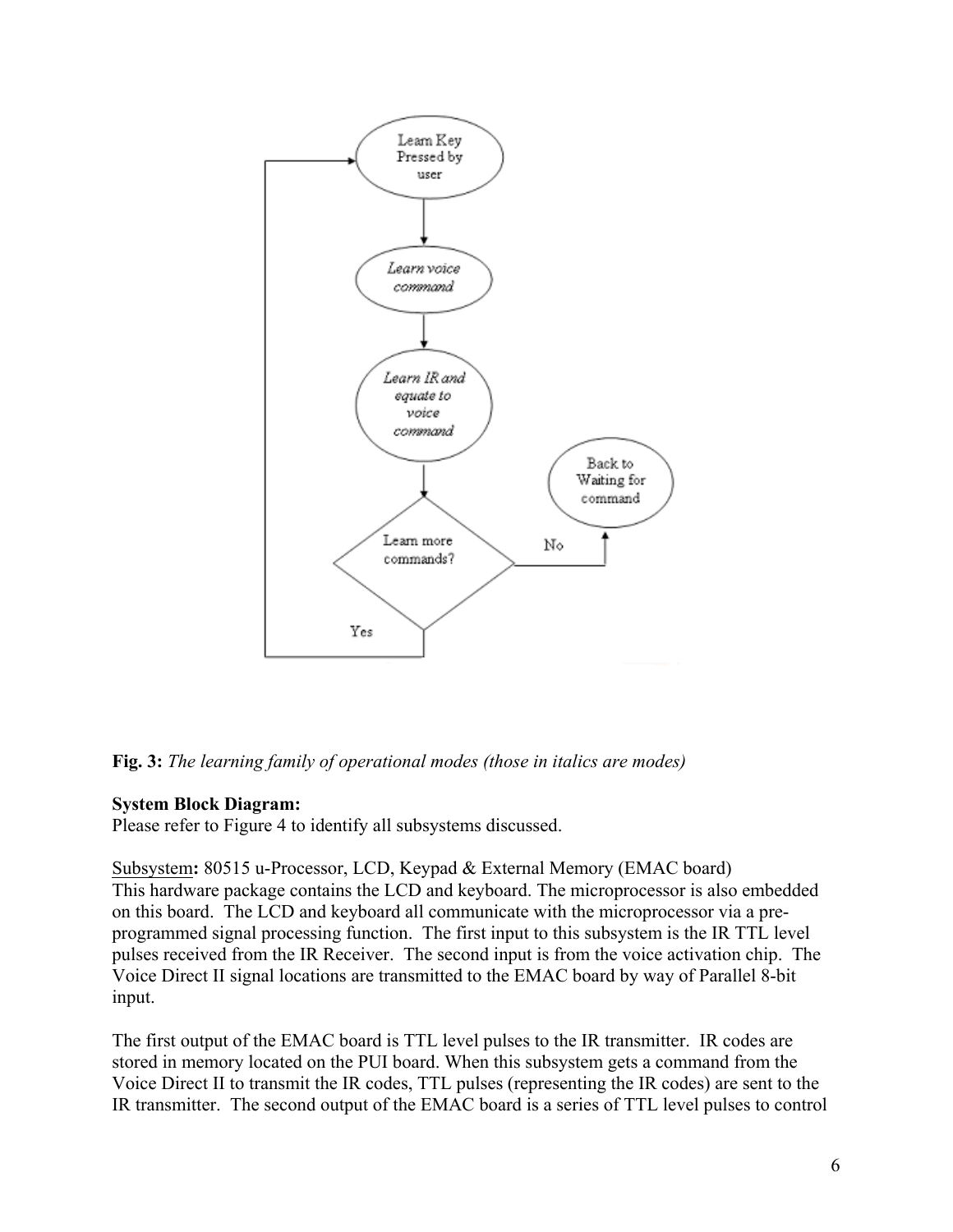

**Fig. 3:** *The learning family of operational modes (those in italics are modes)*

# **System Block Diagram:**

Please refer to Figure 4 to identify all subsystems discussed.

Subsystem**:** 80515 u-Processor, LCD, Keypad & External Memory (EMAC board) This hardware package contains the LCD and keyboard. The microprocessor is also embedded on this board. The LCD and keyboard all communicate with the microprocessor via a preprogrammed signal processing function. The first input to this subsystem is the IR TTL level pulses received from the IR Receiver. The second input is from the voice activation chip. The Voice Direct II signal locations are transmitted to the EMAC board by way of Parallel 8-bit input.

The first output of the EMAC board is TTL level pulses to the IR transmitter. IR codes are stored in memory located on the PUI board. When this subsystem gets a command from the Voice Direct II to transmit the IR codes, TTL pulses (representing the IR codes) are sent to the IR transmitter. The second output of the EMAC board is a series of TTL level pulses to control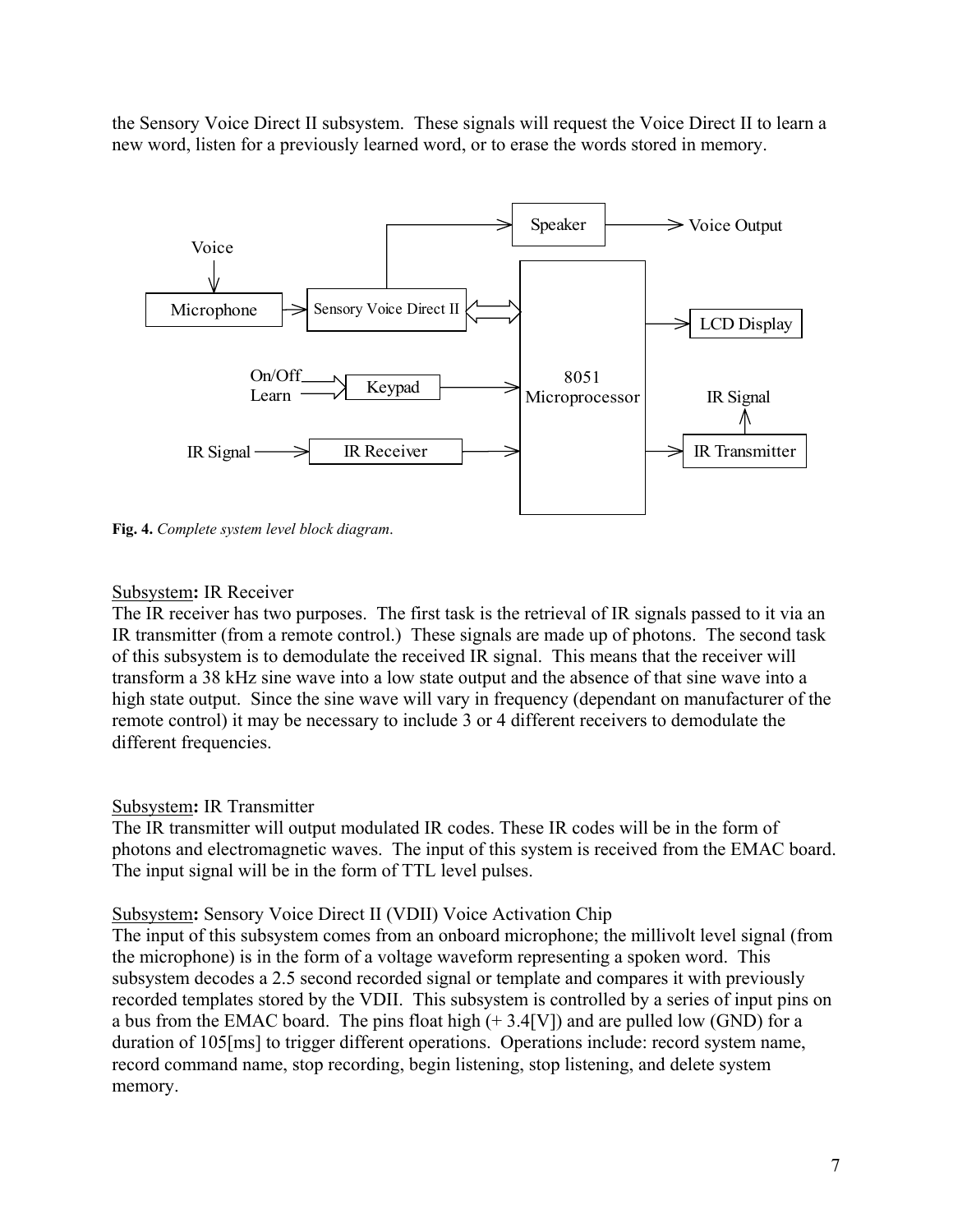the Sensory Voice Direct II subsystem. These signals will request the Voice Direct II to learn a new word, listen for a previously learned word, or to erase the words stored in memory.



**Fig. 4.** *Complete system level block diagram*.

## Subsystem**:** IR Receiver

The IR receiver has two purposes. The first task is the retrieval of IR signals passed to it via an IR transmitter (from a remote control.) These signals are made up of photons. The second task of this subsystem is to demodulate the received IR signal. This means that the receiver will transform a 38 kHz sine wave into a low state output and the absence of that sine wave into a high state output. Since the sine wave will vary in frequency (dependant on manufacturer of the remote control) it may be necessary to include 3 or 4 different receivers to demodulate the different frequencies.

# Subsystem**:** IR Transmitter

The IR transmitter will output modulated IR codes. These IR codes will be in the form of photons and electromagnetic waves. The input of this system is received from the EMAC board. The input signal will be in the form of TTL level pulses.

### Subsystem**:** Sensory Voice Direct II (VDII) Voice Activation Chip

The input of this subsystem comes from an onboard microphone; the millivolt level signal (from the microphone) is in the form of a voltage waveform representing a spoken word. This subsystem decodes a 2.5 second recorded signal or template and compares it with previously recorded templates stored by the VDII. This subsystem is controlled by a series of input pins on a bus from the EMAC board. The pins float high  $(+ 3.4$ [V]) and are pulled low (GND) for a duration of 105[ms] to trigger different operations. Operations include: record system name, record command name, stop recording, begin listening, stop listening, and delete system memory.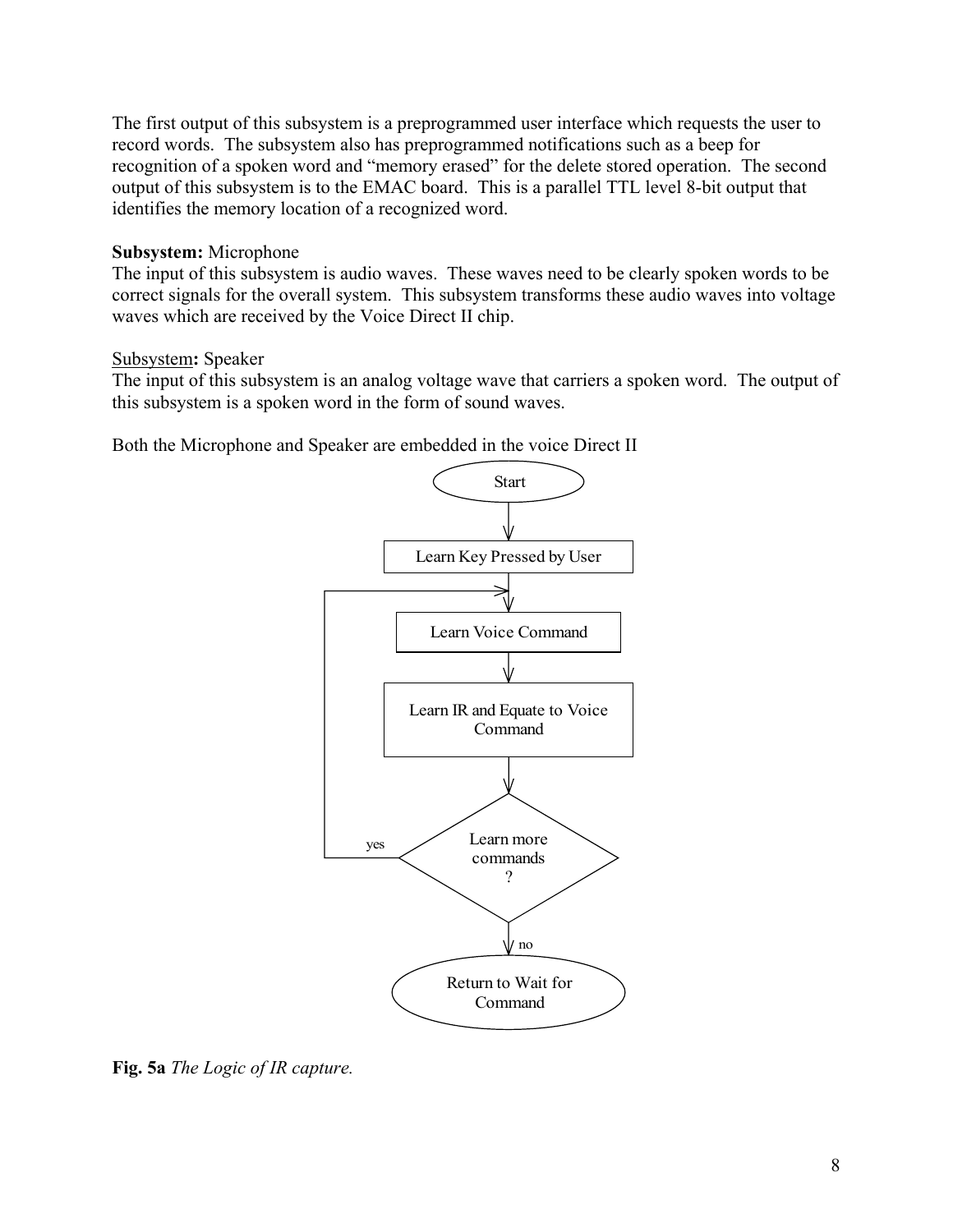The first output of this subsystem is a preprogrammed user interface which requests the user to record words. The subsystem also has preprogrammed notifications such as a beep for recognition of a spoken word and "memory erased" for the delete stored operation. The second output of this subsystem is to the EMAC board. This is a parallel TTL level 8-bit output that identifies the memory location of a recognized word.

### **Subsystem:** Microphone

The input of this subsystem is audio waves. These waves need to be clearly spoken words to be correct signals for the overall system. This subsystem transforms these audio waves into voltage waves which are received by the Voice Direct II chip.

## Subsystem**:** Speaker

The input of this subsystem is an analog voltage wave that carriers a spoken word. The output of this subsystem is a spoken word in the form of sound waves.

Both the Microphone and Speaker are embedded in the voice Direct II



**Fig. 5a** *The Logic of IR capture.*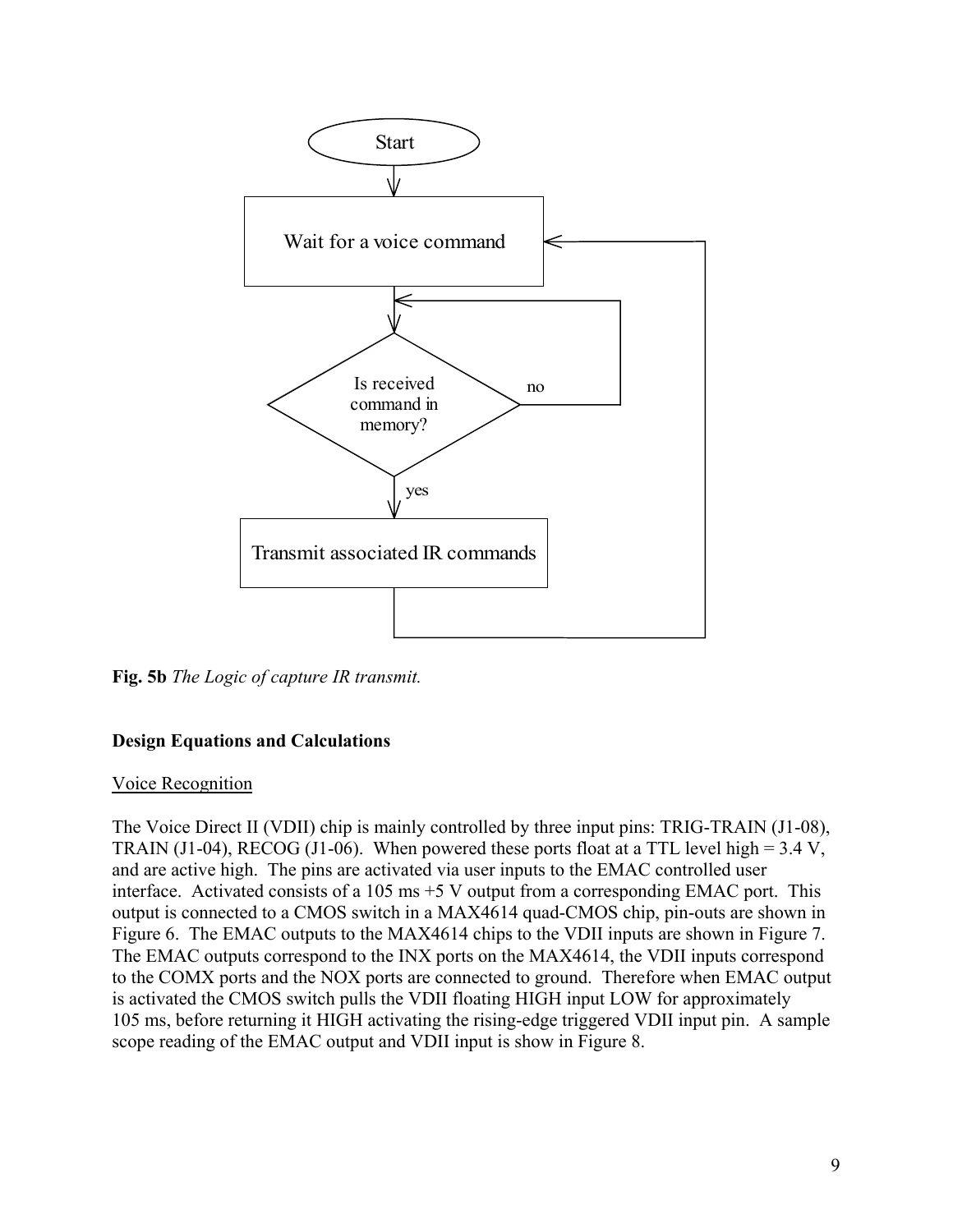

**Fig. 5b** *The Logic of capture IR transmit.*

# **Design Equations and Calculations**

### Voice Recognition

The Voice Direct II (VDII) chip is mainly controlled by three input pins: TRIG-TRAIN (J1-08), TRAIN (J1-04), RECOG (J1-06). When powered these ports float at a TTL level high =  $3.4$  V, and are active high. The pins are activated via user inputs to the EMAC controlled user interface. Activated consists of a 105 ms +5 V output from a corresponding EMAC port. This output is connected to a CMOS switch in a MAX4614 quad-CMOS chip, pin-outs are shown in Figure 6. The EMAC outputs to the MAX4614 chips to the VDII inputs are shown in Figure 7. The EMAC outputs correspond to the INX ports on the MAX4614, the VDII inputs correspond to the COMX ports and the NOX ports are connected to ground. Therefore when EMAC output is activated the CMOS switch pulls the VDII floating HIGH input LOW for approximately 105 ms, before returning it HIGH activating the rising-edge triggered VDII input pin. A sample scope reading of the EMAC output and VDII input is show in Figure 8.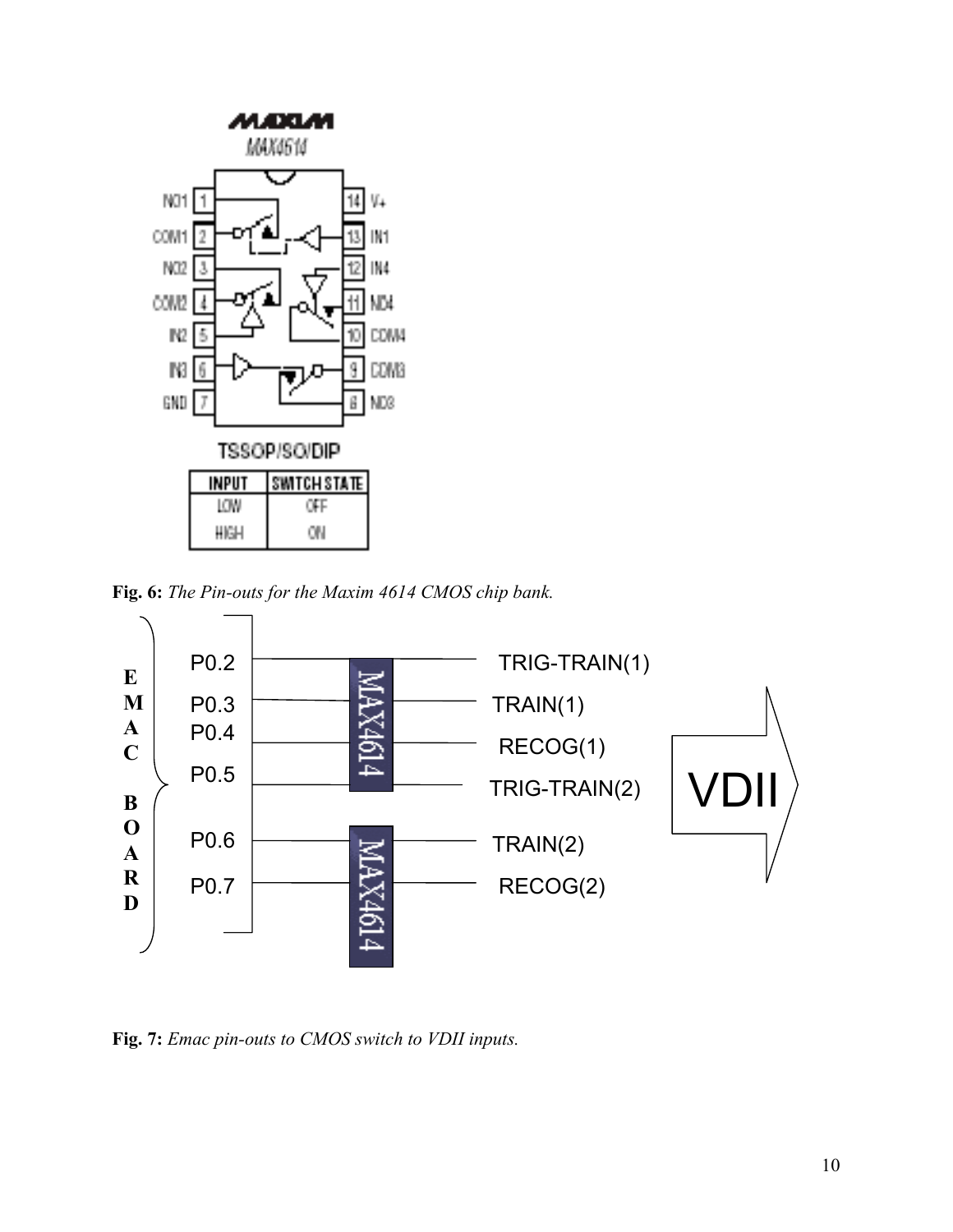

**Fig. 6:** *The Pin-outs for the Maxim 4614 CMOS chip bank.*



**Fig. 7:** *Emac pin-outs to CMOS switch to VDII inputs.*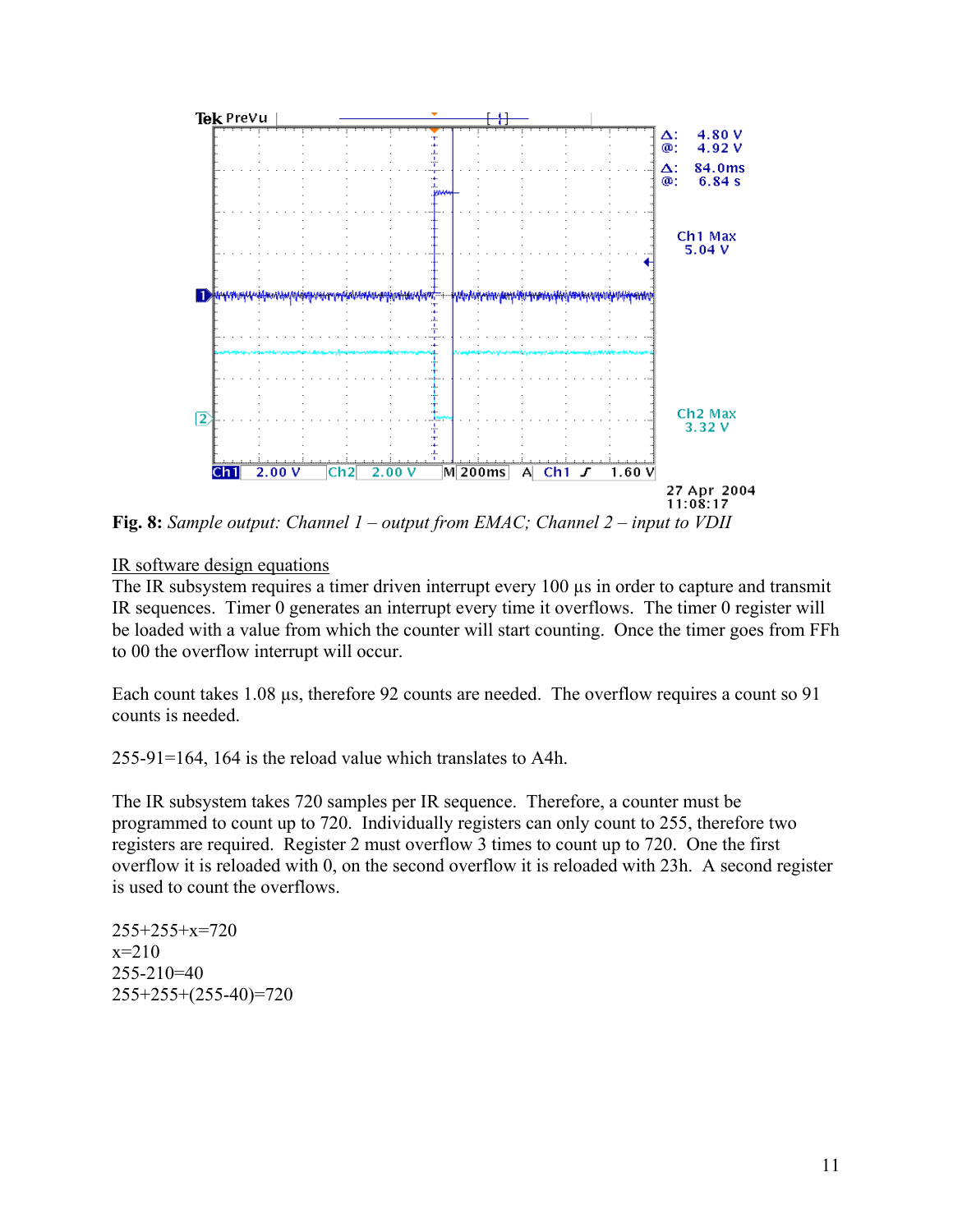

**Fig. 8:** *Sample output: Channel 1 – output from EMAC; Channel 2 – input to VDII*

# IR software design equations

The IR subsystem requires a timer driven interrupt every 100  $\mu$ s in order to capture and transmit IR sequences. Timer 0 generates an interrupt every time it overflows. The timer 0 register will be loaded with a value from which the counter will start counting. Once the timer goes from FFh to 00 the overflow interrupt will occur.

Each count takes 1.08 µs, therefore 92 counts are needed. The overflow requires a count so 91 counts is needed.

255-91=164, 164 is the reload value which translates to A4h.

The IR subsystem takes 720 samples per IR sequence. Therefore, a counter must be programmed to count up to 720. Individually registers can only count to 255, therefore two registers are required. Register 2 must overflow 3 times to count up to 720. One the first overflow it is reloaded with 0, on the second overflow it is reloaded with 23h. A second register is used to count the overflows.

255+255+x=720  $x=210$  $255 - 210 = 40$ 255+255+(255-40)=720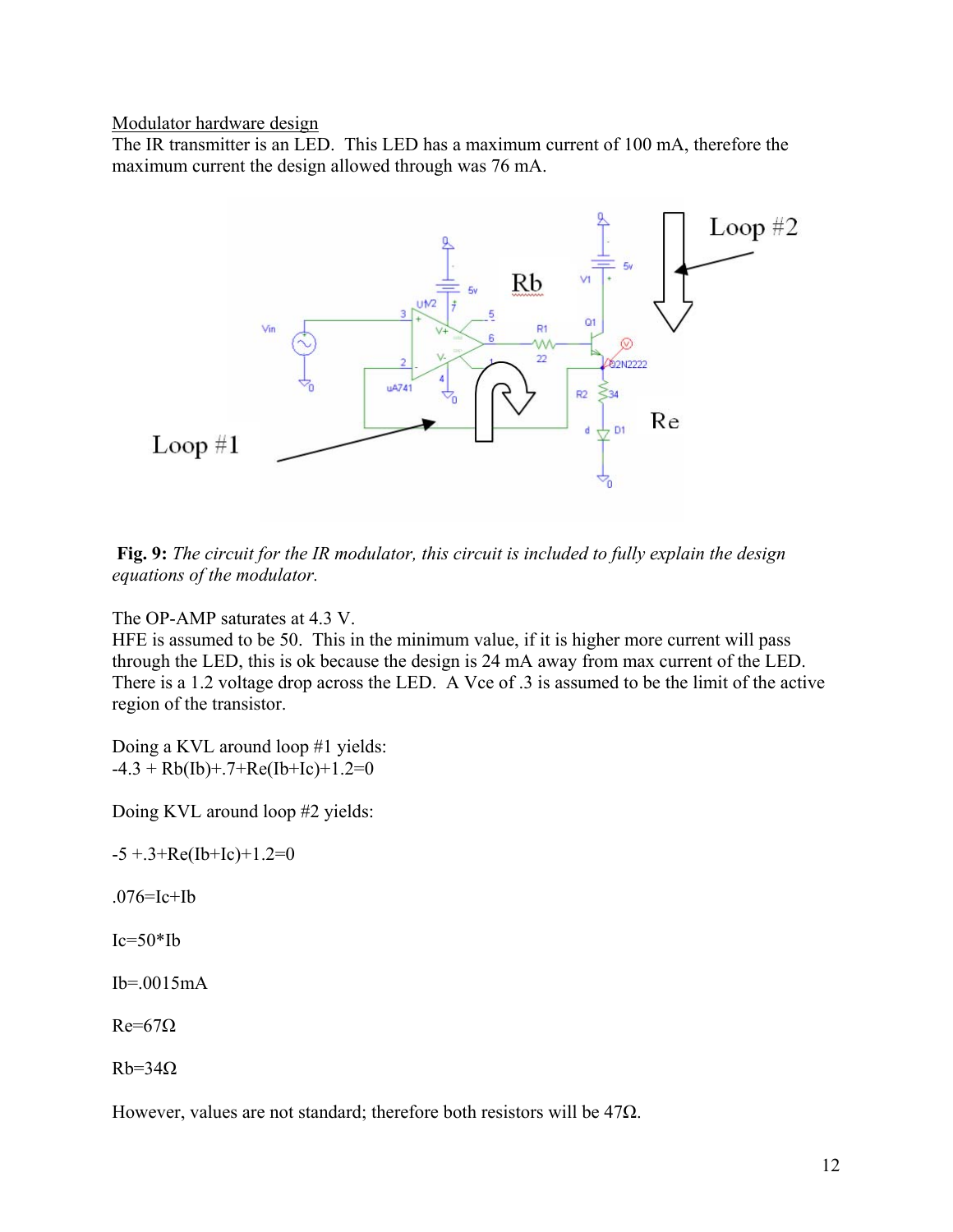Modulator hardware design

The IR transmitter is an LED. This LED has a maximum current of 100 mA, therefore the maximum current the design allowed through was 76 mA.



**Fig. 9:** *The circuit for the IR modulator, this circuit is included to fully explain the design equations of the modulator.*

The OP-AMP saturates at 4.3 V.

HFE is assumed to be 50. This in the minimum value, if it is higher more current will pass through the LED, this is ok because the design is 24 mA away from max current of the LED. There is a 1.2 voltage drop across the LED. A Vce of .3 is assumed to be the limit of the active region of the transistor.

Doing a KVL around loop #1 yields:  $-4.3 + Rb(Ib) + .7 + Re(Ib+Ic) + 1.2 = 0$ 

Doing KVL around loop #2 yields:

 $-5 + .3 + Re(Ib+Ic)+1.2=0$ 

.076=Ic+Ib

 $Ic=50*Ib$ 

 $Ib = .0015mA$ 

 $Re=67\Omega$ 

 $Rb=34\Omega$ 

However, values are not standard; therefore both resistors will be 47Ω.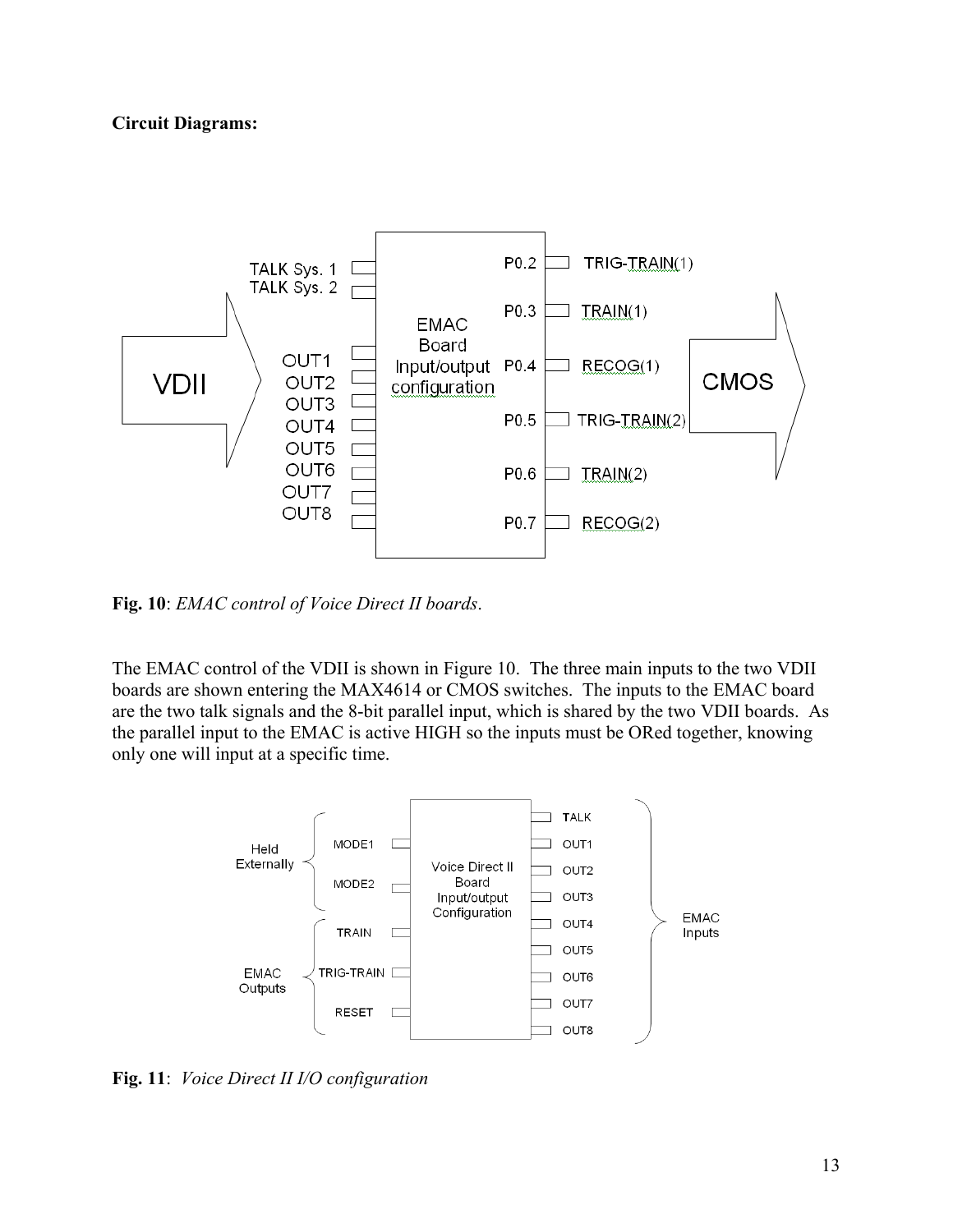# **Circuit Diagrams:**



**Fig. 10**: *EMAC control of Voice Direct II boards*.

The EMAC control of the VDII is shown in Figure 10. The three main inputs to the two VDII boards are shown entering the MAX4614 or CMOS switches. The inputs to the EMAC board are the two talk signals and the 8-bit parallel input, which is shared by the two VDII boards. As the parallel input to the EMAC is active HIGH so the inputs must be ORed together, knowing only one will input at a specific time.



**Fig. 11**: *Voice Direct II I/O configuration*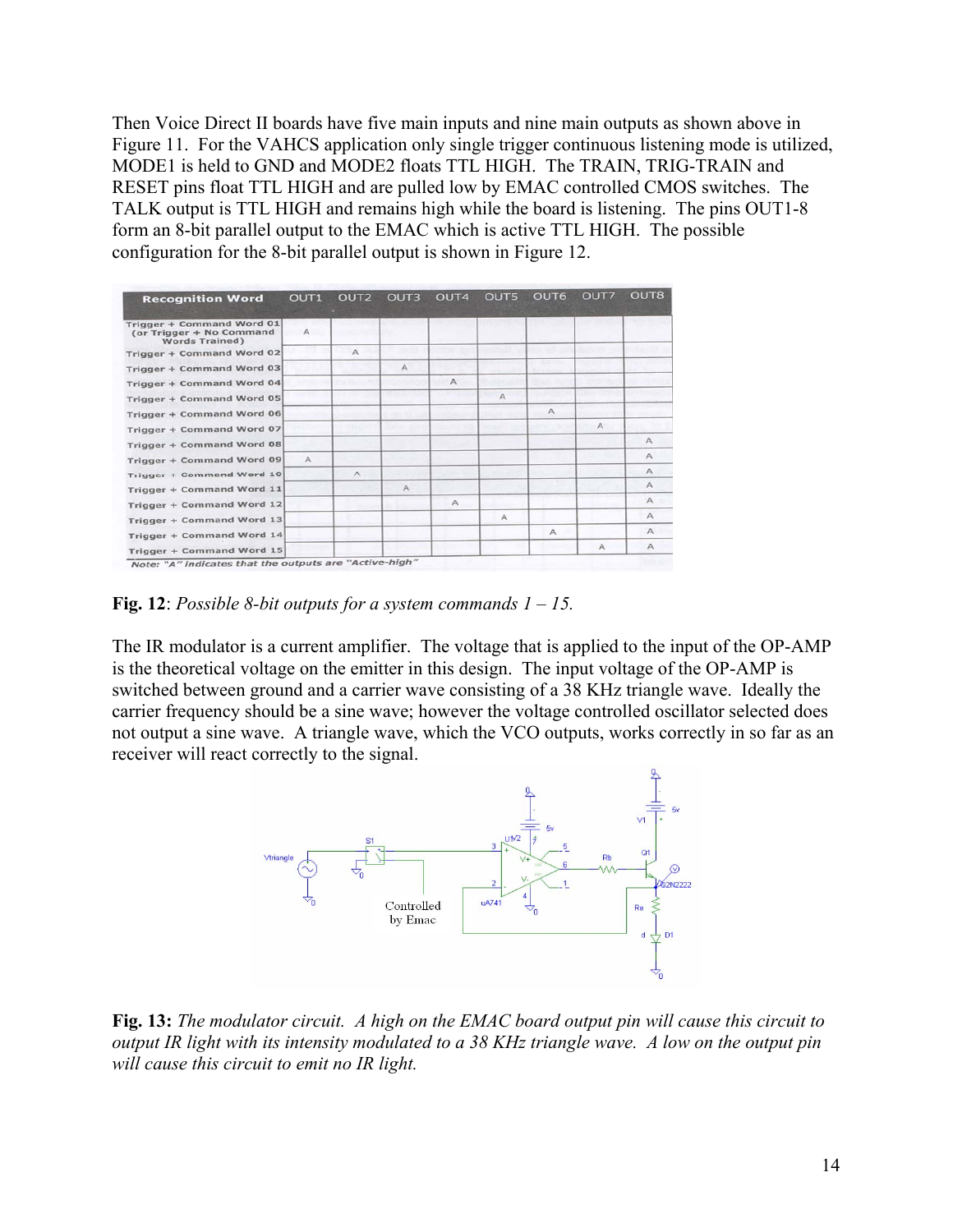Then Voice Direct II boards have five main inputs and nine main outputs as shown above in Figure 11. For the VAHCS application only single trigger continuous listening mode is utilized, MODE1 is held to GND and MODE2 floats TTL HIGH. The TRAIN, TRIG-TRAIN and RESET pins float TTL HIGH and are pulled low by EMAC controlled CMOS switches. The TALK output is TTL HIGH and remains high while the board is listening. The pins OUT1-8 form an 8-bit parallel output to the EMAC which is active TTL HIGH. The possible configuration for the 8-bit parallel output is shown in Figure 12.

| <b>Recognition Word</b>                                                        | OUT <sub>1</sub> | OUT <sub>2</sub> | OUT3         | OUT <sub>4</sub> | OUT5         | OUT6         | OUT7         | OUT <sub>8</sub> |
|--------------------------------------------------------------------------------|------------------|------------------|--------------|------------------|--------------|--------------|--------------|------------------|
| Trigger + Command Word 01<br>(or Trigger + No Command<br><b>Words Trained)</b> | A                |                  |              |                  |              |              |              |                  |
| Trigger + Command Word 02                                                      |                  | $\wedge$         |              |                  |              |              |              |                  |
| Trigger + Command Word 03                                                      |                  |                  | $\mathsf{A}$ |                  |              |              |              |                  |
| Trigger + Command Word 04                                                      |                  |                  |              | A                |              |              |              |                  |
| Trigger + Command Word 05                                                      |                  |                  |              |                  | $\mathbb{A}$ |              |              |                  |
| Trigger + Command Word 06                                                      |                  |                  |              |                  |              | $\mathsf{A}$ |              |                  |
| Trigger + Command Word 07                                                      |                  |                  |              |                  |              |              | $\wedge$     |                  |
| Trigger + Command Word 08                                                      |                  |                  |              |                  |              |              |              | $\wedge$         |
| Trigger + Command Word 09                                                      | $\mathcal{A}$    |                  |              |                  |              |              |              | $\wedge$         |
| Trigger + Command Word 10                                                      |                  | А                |              |                  |              |              |              | A                |
| Trigger + Command Word 11                                                      |                  |                  | $\mathsf{A}$ |                  |              |              |              | $\mathsf{A}$     |
| Trigger + Command Word 12                                                      |                  |                  |              | $\wedge$         |              |              |              | Α                |
| Trigger + Command Word 13                                                      |                  |                  |              |                  | $\mathsf{A}$ |              |              | А                |
| Trigger + Command Word 14                                                      |                  |                  |              |                  |              | $\mathsf{A}$ |              | A                |
| Trigger + Command Word 15                                                      |                  |                  |              |                  |              |              | $\mathsf{A}$ | $\wedge$         |

**Fig. 12**: *Possible 8-bit outputs for a system commands 1 – 15.*

The IR modulator is a current amplifier. The voltage that is applied to the input of the OP-AMP is the theoretical voltage on the emitter in this design. The input voltage of the OP-AMP is switched between ground and a carrier wave consisting of a 38 KHz triangle wave. Ideally the carrier frequency should be a sine wave; however the voltage controlled oscillator selected does not output a sine wave. A triangle wave, which the VCO outputs, works correctly in so far as an receiver will react correctly to the signal.



**Fig. 13:** *The modulator circuit. A high on the EMAC board output pin will cause this circuit to output IR light with its intensity modulated to a 38 KHz triangle wave. A low on the output pin will cause this circuit to emit no IR light.*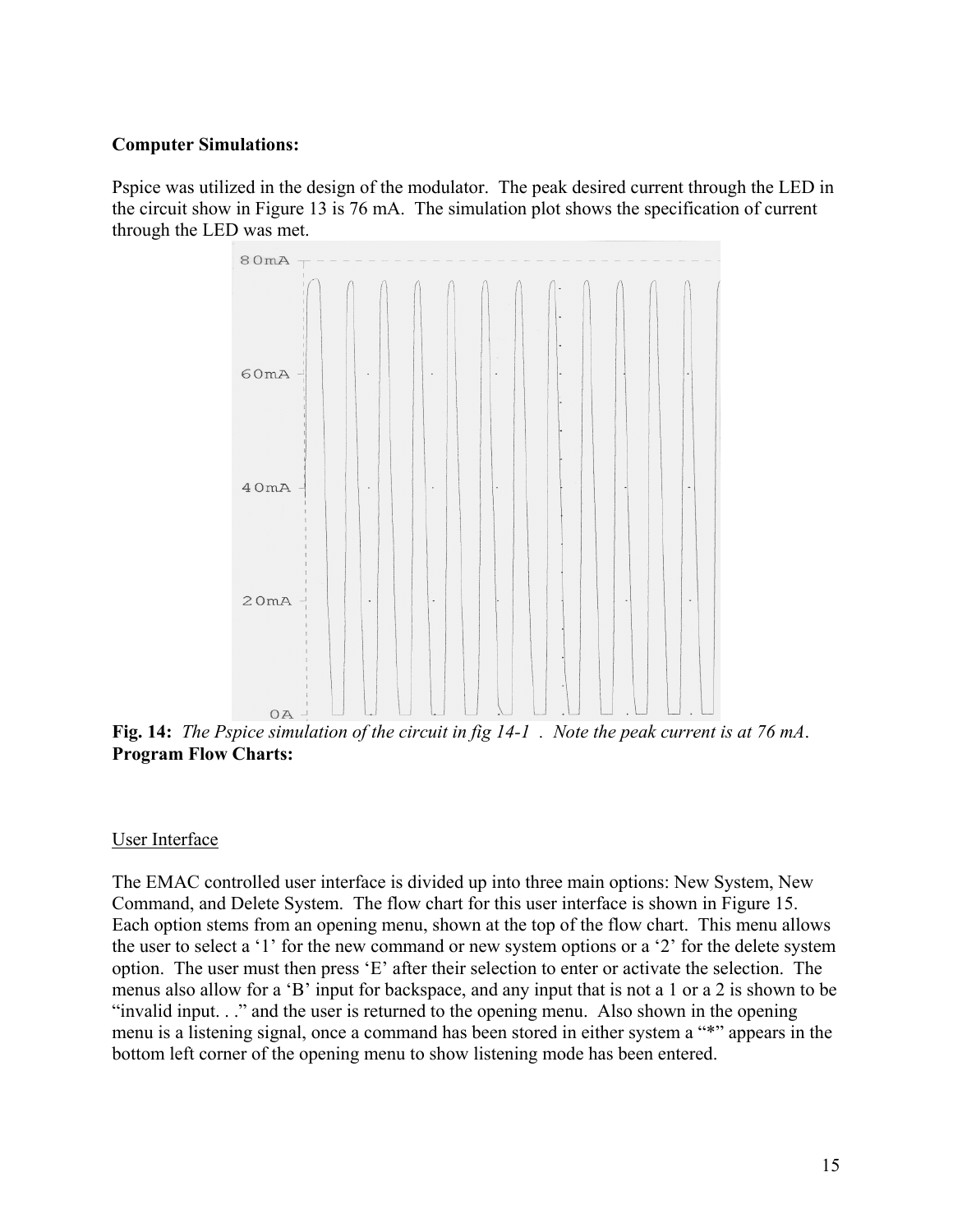## **Computer Simulations:**

Pspice was utilized in the design of the modulator. The peak desired current through the LED in the circuit show in Figure 13 is 76 mA. The simulation plot shows the specification of current through the LED was met.



**Fig. 14:** *The Pspice simulation of the circuit in fig 14-1 . Note the peak current is at 76 mA*. **Program Flow Charts:**

### User Interface

The EMAC controlled user interface is divided up into three main options: New System, New Command, and Delete System. The flow chart for this user interface is shown in Figure 15. Each option stems from an opening menu, shown at the top of the flow chart. This menu allows the user to select a '1' for the new command or new system options or a '2' for the delete system option. The user must then press 'E' after their selection to enter or activate the selection. The menus also allow for a 'B' input for backspace, and any input that is not a 1 or a 2 is shown to be "invalid input. . ." and the user is returned to the opening menu. Also shown in the opening menu is a listening signal, once a command has been stored in either system a "\*" appears in the bottom left corner of the opening menu to show listening mode has been entered.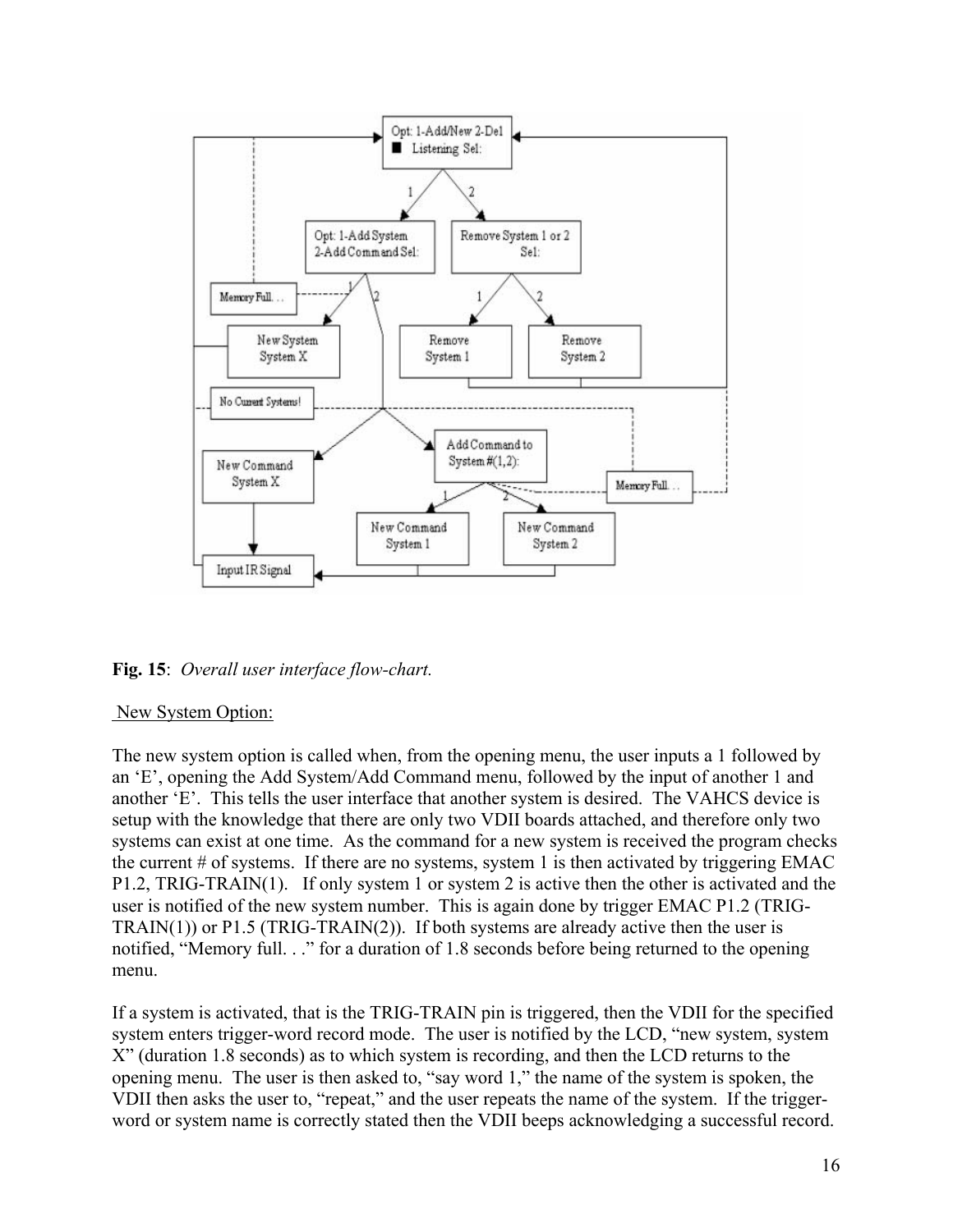

**Fig. 15**: *Overall user interface flow-chart.*

### New System Option:

The new system option is called when, from the opening menu, the user inputs a 1 followed by an 'E', opening the Add System/Add Command menu, followed by the input of another 1 and another 'E'. This tells the user interface that another system is desired. The VAHCS device is setup with the knowledge that there are only two VDII boards attached, and therefore only two systems can exist at one time. As the command for a new system is received the program checks the current  $\#$  of systems. If there are no systems, system 1 is then activated by triggering EMAC P1.2, TRIG-TRAIN(1). If only system 1 or system 2 is active then the other is activated and the user is notified of the new system number. This is again done by trigger EMAC P1.2 (TRIG-TRAIN(1)) or  $P1.5$  (TRIG-TRAIN(2)). If both systems are already active then the user is notified, "Memory full. . ." for a duration of 1.8 seconds before being returned to the opening menu.

If a system is activated, that is the TRIG-TRAIN pin is triggered, then the VDII for the specified system enters trigger-word record mode. The user is notified by the LCD, "new system, system X" (duration 1.8 seconds) as to which system is recording, and then the LCD returns to the opening menu. The user is then asked to, "say word 1," the name of the system is spoken, the VDII then asks the user to, "repeat," and the user repeats the name of the system. If the triggerword or system name is correctly stated then the VDII beeps acknowledging a successful record.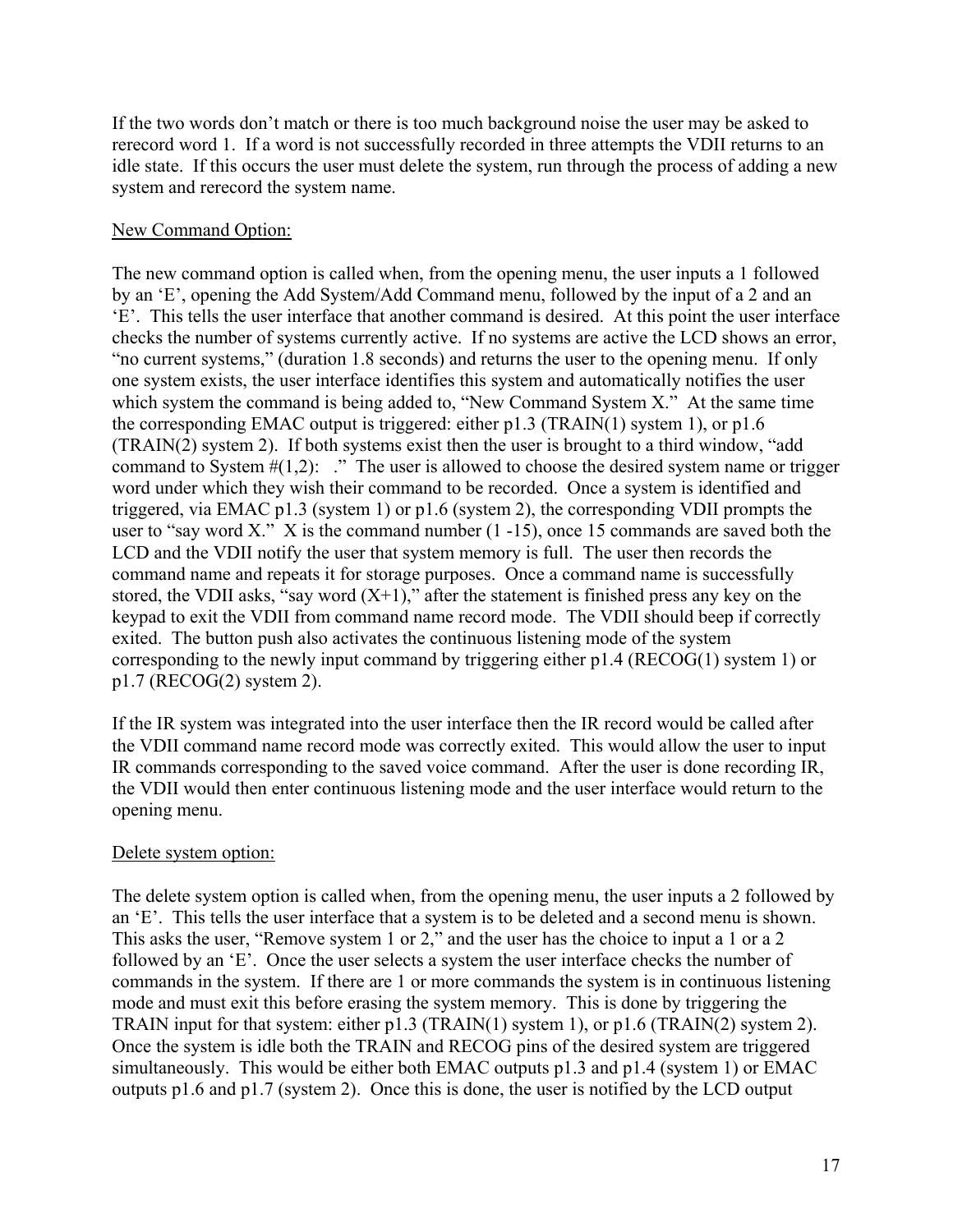If the two words don't match or there is too much background noise the user may be asked to rerecord word 1. If a word is not successfully recorded in three attempts the VDII returns to an idle state. If this occurs the user must delete the system, run through the process of adding a new system and rerecord the system name.

# New Command Option:

The new command option is called when, from the opening menu, the user inputs a 1 followed by an 'E', opening the Add System/Add Command menu, followed by the input of a 2 and an 'E'. This tells the user interface that another command is desired. At this point the user interface checks the number of systems currently active. If no systems are active the LCD shows an error, "no current systems," (duration 1.8 seconds) and returns the user to the opening menu. If only one system exists, the user interface identifies this system and automatically notifies the user which system the command is being added to, "New Command System X." At the same time the corresponding EMAC output is triggered: either p1.3 (TRAIN(1) system 1), or p1.6 (TRAIN(2) system 2). If both systems exist then the user is brought to a third window, "add command to System  $\#(1,2)$ : ." The user is allowed to choose the desired system name or trigger word under which they wish their command to be recorded. Once a system is identified and triggered, via EMAC p1.3 (system 1) or p1.6 (system 2), the corresponding VDII prompts the user to "say word X." X is the command number  $(1 -15)$ , once 15 commands are saved both the LCD and the VDII notify the user that system memory is full. The user then records the command name and repeats it for storage purposes. Once a command name is successfully stored, the VDII asks, "say word  $(X+1)$ ," after the statement is finished press any key on the keypad to exit the VDII from command name record mode. The VDII should beep if correctly exited. The button push also activates the continuous listening mode of the system corresponding to the newly input command by triggering either p1.4 (RECOG(1) system 1) or p1.7 (RECOG(2) system 2).

If the IR system was integrated into the user interface then the IR record would be called after the VDII command name record mode was correctly exited. This would allow the user to input IR commands corresponding to the saved voice command. After the user is done recording IR, the VDII would then enter continuous listening mode and the user interface would return to the opening menu.

# Delete system option:

The delete system option is called when, from the opening menu, the user inputs a 2 followed by an 'E'. This tells the user interface that a system is to be deleted and a second menu is shown. This asks the user, "Remove system 1 or 2," and the user has the choice to input a 1 or a 2 followed by an 'E'. Once the user selects a system the user interface checks the number of commands in the system. If there are 1 or more commands the system is in continuous listening mode and must exit this before erasing the system memory. This is done by triggering the TRAIN input for that system: either p1.3 (TRAIN(1) system 1), or p1.6 (TRAIN(2) system 2). Once the system is idle both the TRAIN and RECOG pins of the desired system are triggered simultaneously. This would be either both EMAC outputs p1.3 and p1.4 (system 1) or EMAC outputs p1.6 and p1.7 (system 2). Once this is done, the user is notified by the LCD output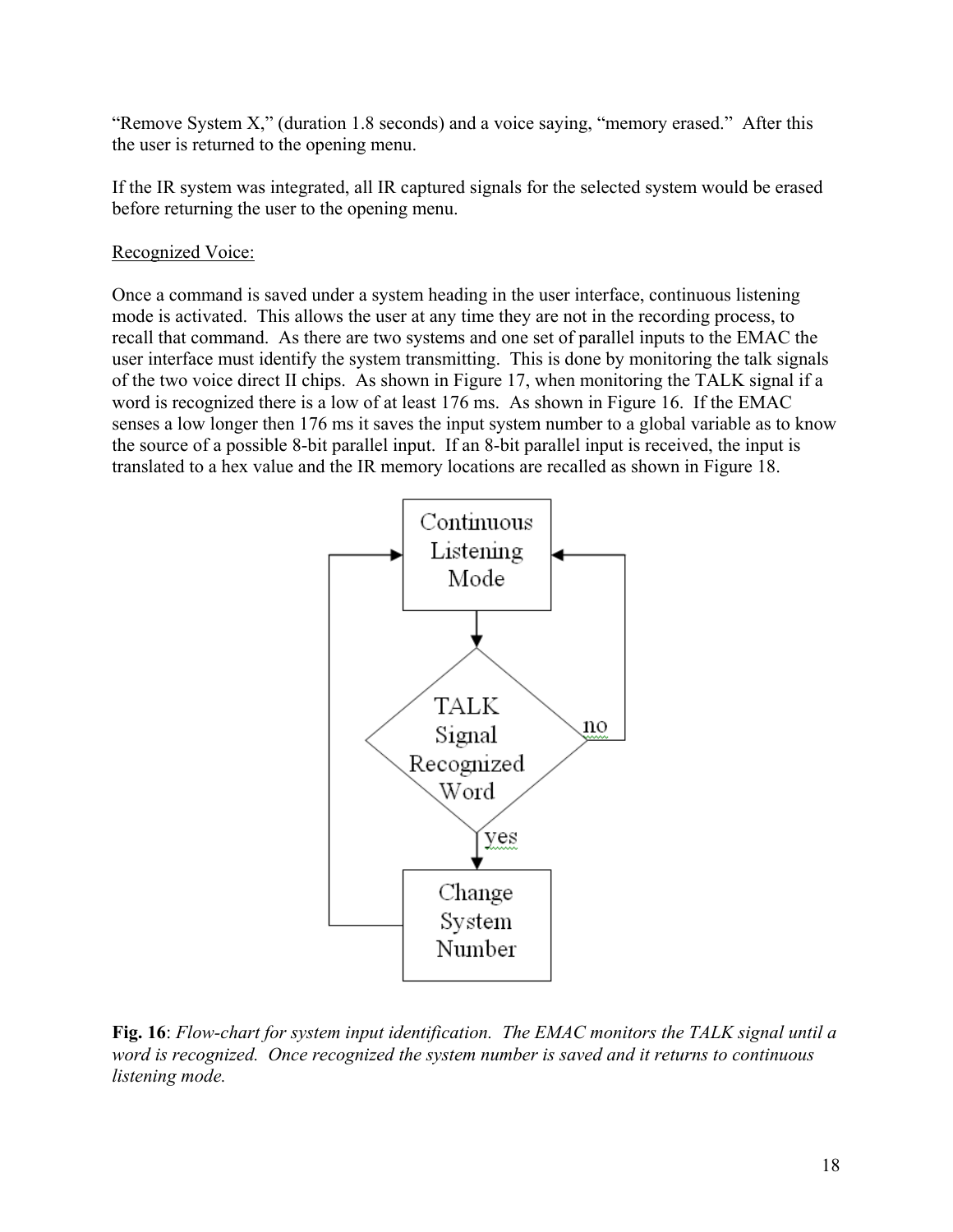"Remove System X," (duration 1.8 seconds) and a voice saying, "memory erased." After this the user is returned to the opening menu.

If the IR system was integrated, all IR captured signals for the selected system would be erased before returning the user to the opening menu.

# Recognized Voice:

Once a command is saved under a system heading in the user interface, continuous listening mode is activated. This allows the user at any time they are not in the recording process, to recall that command. As there are two systems and one set of parallel inputs to the EMAC the user interface must identify the system transmitting. This is done by monitoring the talk signals of the two voice direct II chips. As shown in Figure 17, when monitoring the TALK signal if a word is recognized there is a low of at least 176 ms. As shown in Figure 16. If the EMAC senses a low longer then 176 ms it saves the input system number to a global variable as to know the source of a possible 8-bit parallel input. If an 8-bit parallel input is received, the input is translated to a hex value and the IR memory locations are recalled as shown in Figure 18.



**Fig. 16**: *Flow-chart for system input identification. The EMAC monitors the TALK signal until a word is recognized. Once recognized the system number is saved and it returns to continuous listening mode.*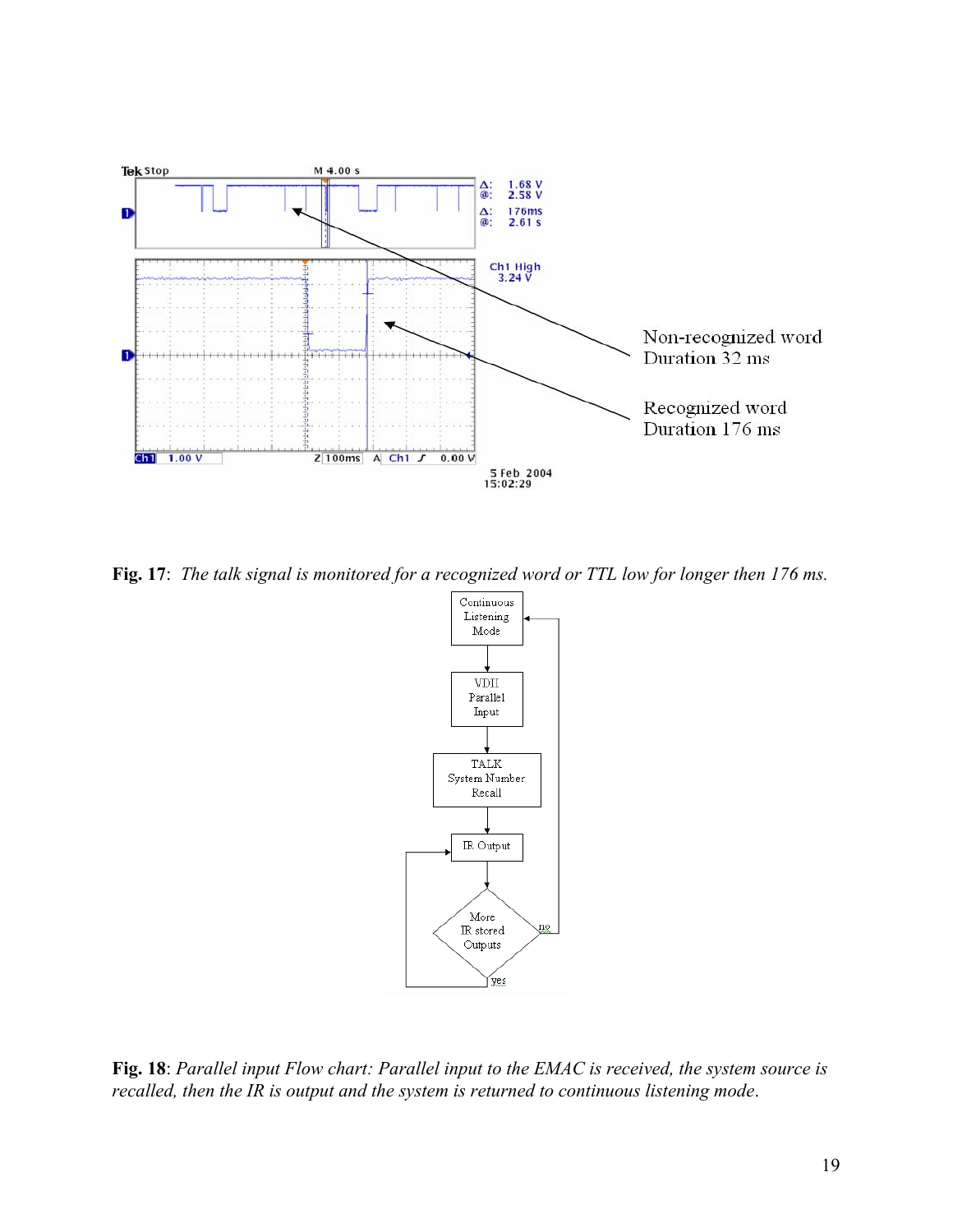

**Fig. 17**: *The talk signal is monitored for a recognized word or TTL low for longer then 176 ms.*



**Fig. 18**: *Parallel input Flow chart: Parallel input to the EMAC is received, the system source is recalled, then the IR is output and the system is returned to continuous listening mode*.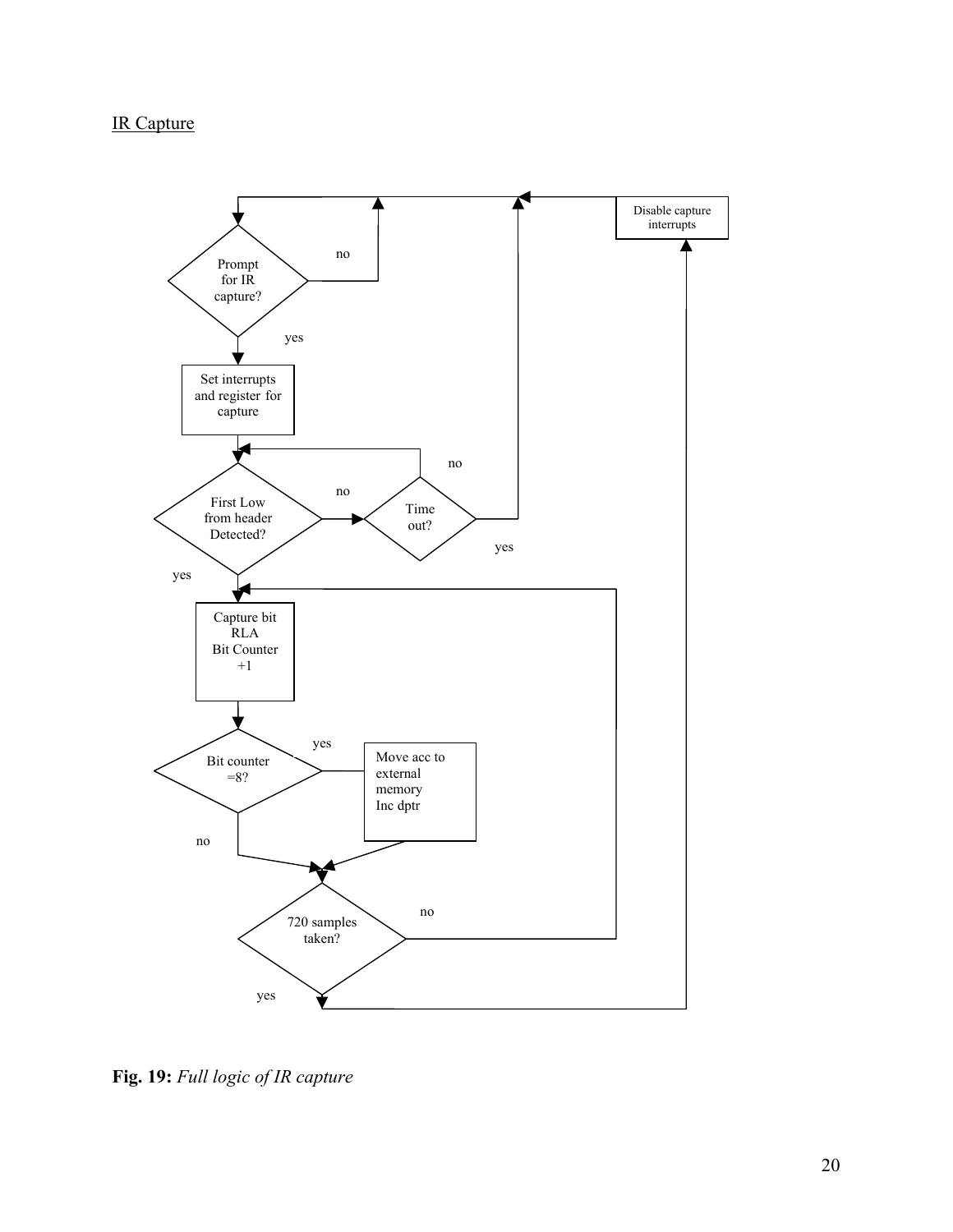# IR Capture



**Fig. 19:** *Full logic of IR capture*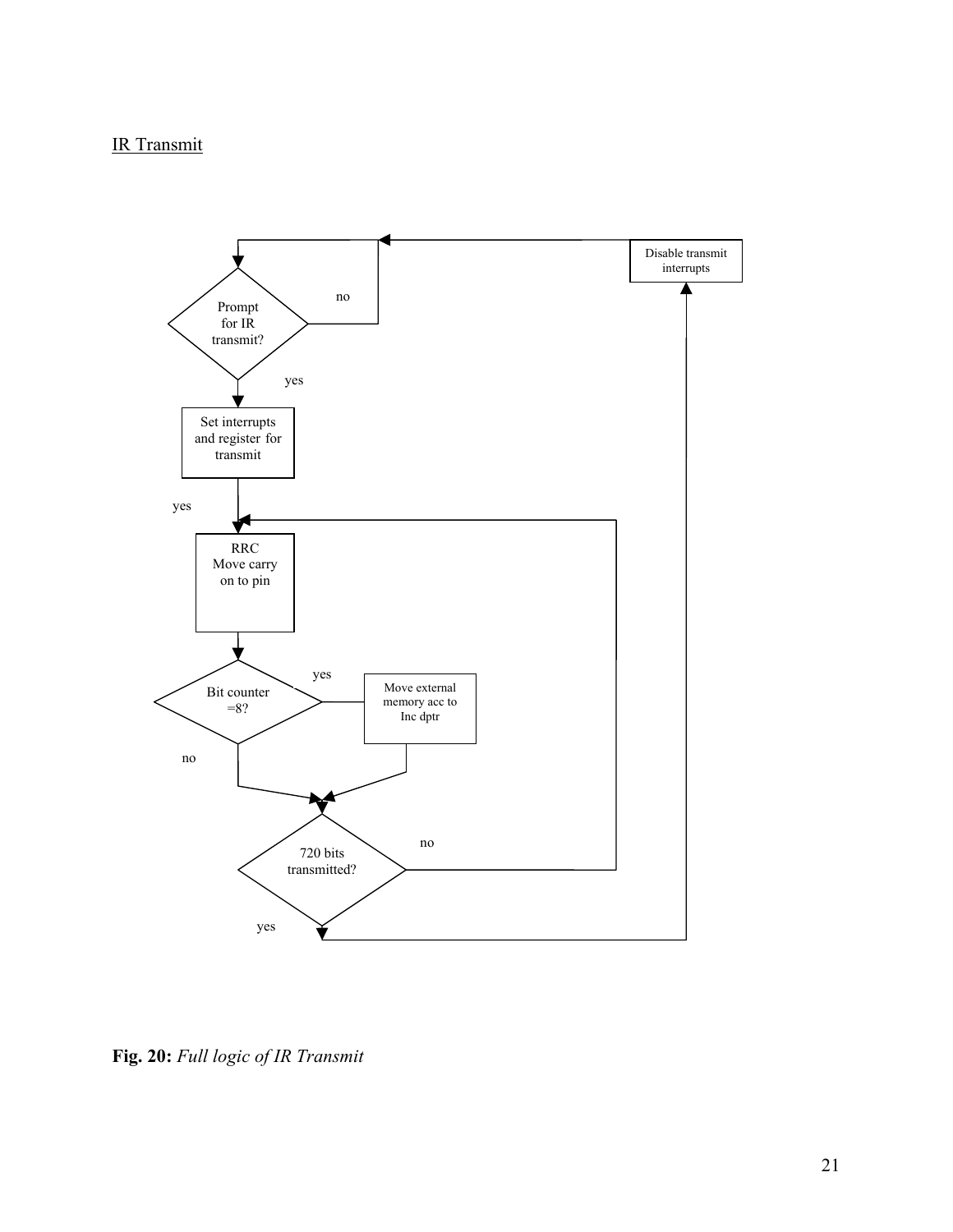# IR Transmit



**Fig. 20:** *Full logic of IR Transmit*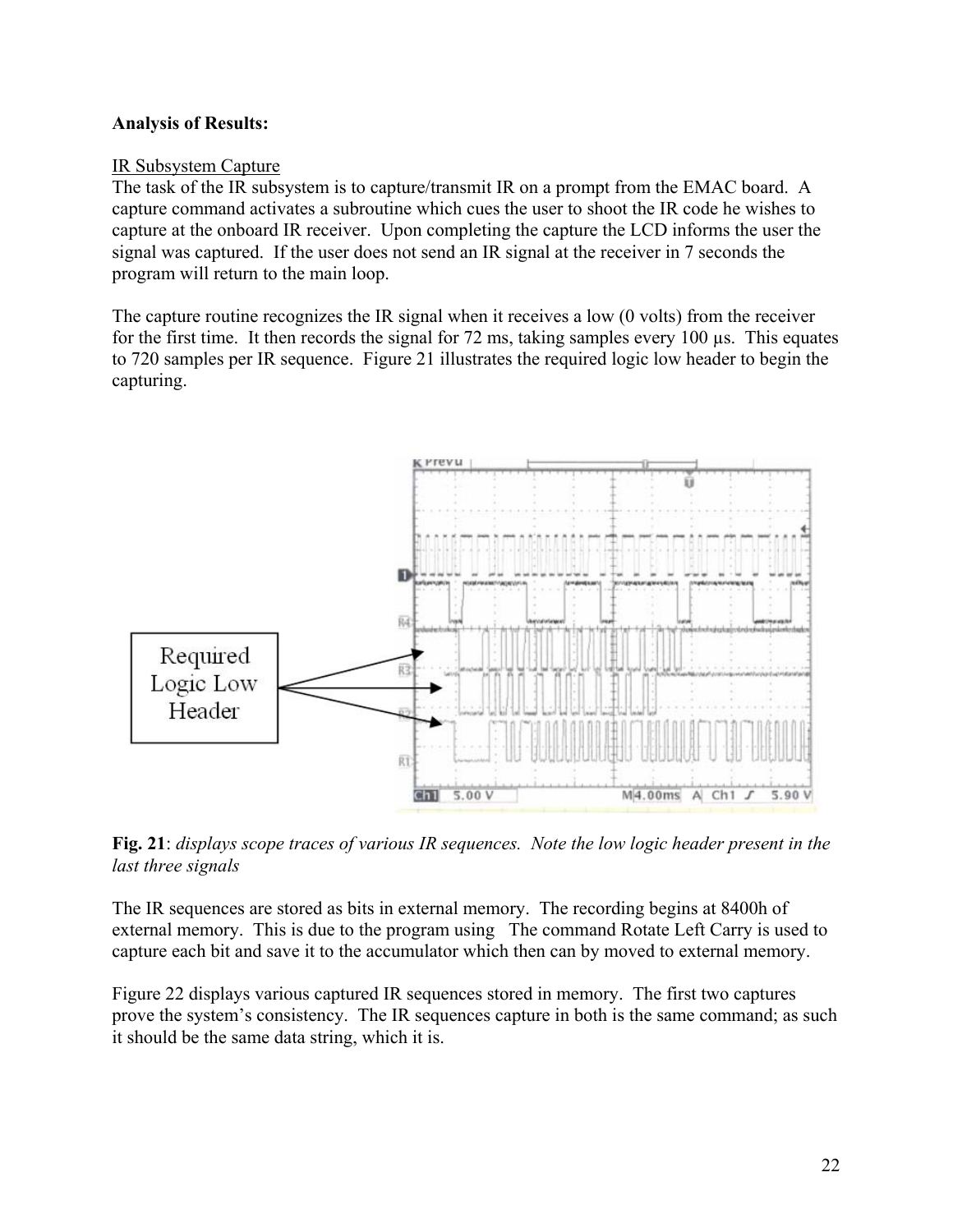## **Analysis of Results:**

### IR Subsystem Capture

The task of the IR subsystem is to capture/transmit IR on a prompt from the EMAC board. A capture command activates a subroutine which cues the user to shoot the IR code he wishes to capture at the onboard IR receiver. Upon completing the capture the LCD informs the user the signal was captured. If the user does not send an IR signal at the receiver in 7 seconds the program will return to the main loop.

The capture routine recognizes the IR signal when it receives a low (0 volts) from the receiver for the first time. It then records the signal for  $72 \text{ ms}$ , taking samples every  $100 \mu s$ . This equates to 720 samples per IR sequence. Figure 21 illustrates the required logic low header to begin the capturing.



**Fig. 21**: *displays scope traces of various IR sequences. Note the low logic header present in the last three signals*

The IR sequences are stored as bits in external memory. The recording begins at 8400h of external memory. This is due to the program using The command Rotate Left Carry is used to capture each bit and save it to the accumulator which then can by moved to external memory.

Figure 22 displays various captured IR sequences stored in memory. The first two captures prove the system's consistency. The IR sequences capture in both is the same command; as such it should be the same data string, which it is.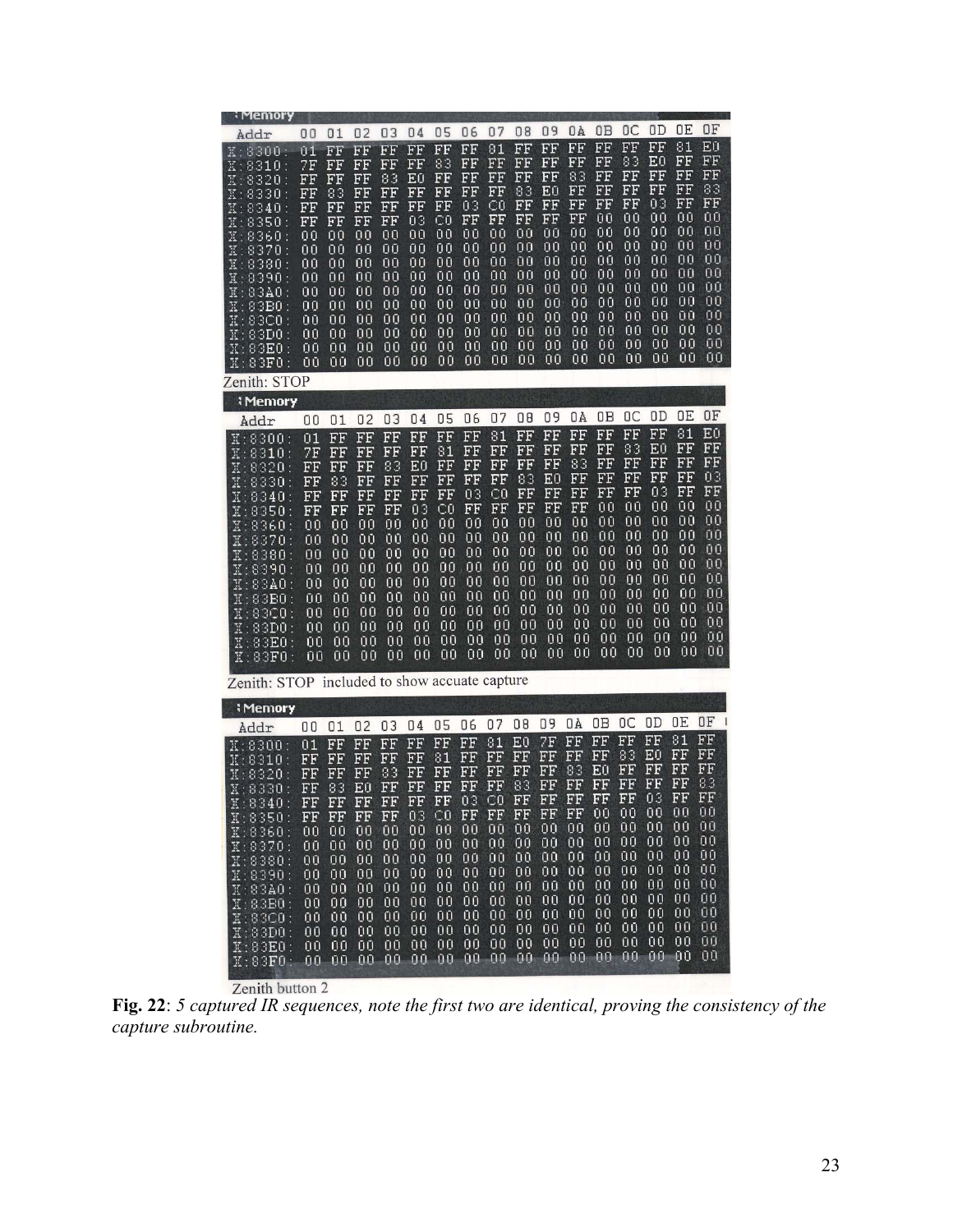| i Memory                                                                                                                                                                                                                                                                           |                                                                                                    |                                                                                                    |                                                                                                    |                                                                                                    |                                                                                                    |                                                                                                       |                                                                                                    |                                                                                                    |                                                                                                             |                                                                                                    |                                                                                                             |                                                                                                    |                                                                                                    |                                                                                                    |                                                                                              |                                                                                              |
|------------------------------------------------------------------------------------------------------------------------------------------------------------------------------------------------------------------------------------------------------------------------------------|----------------------------------------------------------------------------------------------------|----------------------------------------------------------------------------------------------------|----------------------------------------------------------------------------------------------------|----------------------------------------------------------------------------------------------------|----------------------------------------------------------------------------------------------------|-------------------------------------------------------------------------------------------------------|----------------------------------------------------------------------------------------------------|----------------------------------------------------------------------------------------------------|-------------------------------------------------------------------------------------------------------------|----------------------------------------------------------------------------------------------------|-------------------------------------------------------------------------------------------------------------|----------------------------------------------------------------------------------------------------|----------------------------------------------------------------------------------------------------|----------------------------------------------------------------------------------------------------|----------------------------------------------------------------------------------------------|----------------------------------------------------------------------------------------------|
| Addr                                                                                                                                                                                                                                                                               | 00                                                                                                 | 01                                                                                                 | 02                                                                                                 | 03                                                                                                 | 04                                                                                                 | 05                                                                                                    | 06                                                                                                 | 07                                                                                                 | 08                                                                                                          | 09                                                                                                 | ΟÀ                                                                                                          | OΒ                                                                                                 | OС                                                                                                 | OD                                                                                                 | OΕ                                                                                           | ΟF                                                                                           |
| 8300:<br>$\mathbb{R}$ :<br>8310<br>$\mathbb{X}$ :<br>X:8320<br>X: 8330<br>X:8340<br>:8350<br>Κ<br>X:8360<br>X:8370<br>X: 8380<br>X:8390<br>X:83A0<br>$\mathtt{X}:83\mathbf{B0}$<br>X:83C0<br>$\mathtt{X}:83\mathtt{D}0$<br>$\mathtt{X}:83\mathbf{E0}$<br>X:83F0                    | 01<br>7F<br>FF<br>FF<br>FF<br>FF<br>00<br>ŨŪ<br>00<br>00<br>00<br>00<br>ŨŨ<br>00<br>00<br>ŪŪ       | FF<br>FF<br>FF<br>83<br>FF<br>FF<br>00<br>ŨŨ<br>00<br>00<br>ŪŨ<br>00<br>ŨŨ<br>00<br>00<br>ŪŨ       | FF<br>FF<br>FF<br>FF<br>FF<br>FF<br>00<br>ŨŨ<br>00<br>00<br>ŨŨ<br>00<br>ŨŨ<br>00<br>00<br>ŨŨ       | FF<br>FF<br>83<br>FF<br>FF<br>FF<br>00<br>Űθ<br>00<br>00<br>ŪŪ<br>00<br>ŪΟ<br>00<br>00<br>ŨŨ       | FF<br>FF<br>Εū<br>FF<br>FF<br>03<br>00<br>ŨŨ<br>00<br>00<br>ŨŨ<br>00<br>00<br>00<br>00<br>ŨŨ       | FF<br>83<br>FF<br>FF<br>FF<br>СŨ<br>00<br>00<br>ŨŨ<br>00<br>00<br>00<br>00<br>00<br>00<br>ΟO          | FF<br>FF<br>FF<br>FF<br>03<br>FF<br>00<br>00<br>00<br>00<br>00<br>00<br>00<br>00<br>00<br>٥o       | 81<br>FF<br>FF<br>FF<br>СO<br>FF<br>ŨŨ<br>00<br>ŨŨ<br>00<br>00<br>ŪŪ<br>00<br>ŰŨ<br>00<br>00       | FF<br>FF<br>FF<br>83<br>FF<br>FF<br>00<br>00<br>ŨŨ<br>00<br>00<br>ŪŪ<br>00<br>00<br>OΟ<br>٥o                | FF<br>FF<br>FF<br>EŪ<br>FF<br>FF<br>ŨŨ<br>00<br>ŪŨ<br>00<br>00<br>ŨŨ<br>00<br>00<br>ŨŨ<br>00       | FF<br>FF<br>83<br>FF<br>FF<br>FF<br>00<br>00<br>ŪŨ<br>00<br>00<br>ΟO<br>00<br>00<br>00<br>00                | FF<br>FF<br>FF<br>FF<br>FF<br>00<br>00<br>00<br>00<br>00<br>00<br>ΟO<br>00<br>00<br>ŪΟ<br>00       | FF<br>83<br>FF<br>FF<br>FF<br>00<br>00<br>00<br>00<br>00<br>ΟŪ<br>00<br>00<br>00<br>00<br>00       | FF<br>E0<br>FF<br>FF<br>03<br>00<br>00<br>00<br>00<br>00<br>ŨŨ<br>00<br>00<br>00<br>00<br>ŪŪ       | 81<br>FF<br>FF<br>FF<br>FF<br>00<br>00<br>ŪŪ<br>00<br>00<br>ŨŨ<br>00<br>ΟŪ<br>00<br>00<br>ŪŪ | ΕŪ<br>FF<br>FF<br>83<br>FF<br>00<br>00<br>ŬŨ<br>00<br>00<br>ŪŪ<br>ΩO<br>ŪŪ<br>00<br>00<br>ŨŨ |
| Zenith: STOP                                                                                                                                                                                                                                                                       |                                                                                                    |                                                                                                    |                                                                                                    |                                                                                                    |                                                                                                    |                                                                                                       |                                                                                                    |                                                                                                    |                                                                                                             |                                                                                                    |                                                                                                             |                                                                                                    |                                                                                                    |                                                                                                    |                                                                                              |                                                                                              |
| <b>: Memory</b><br>Addr                                                                                                                                                                                                                                                            | 00                                                                                                 | 01                                                                                                 | 02                                                                                                 | 03                                                                                                 | 04                                                                                                 | 05                                                                                                    | 06                                                                                                 | 07                                                                                                 | 08                                                                                                          | 09                                                                                                 | ΟÀ                                                                                                          | OΒ                                                                                                 | OC                                                                                                 | ΟD                                                                                                 | OΕ                                                                                           | ΟF                                                                                           |
| 8300:<br>$\mathbb{K}$ :<br>8310<br>$\mathbb{R}$ :<br>8320<br>$\mathbb{X}$ :<br>8330<br>$\mathbb{X}$ :<br>$\mathtt{X}:8340$<br>X:8350<br>X:8360<br>X:8370<br>X:8380<br>X:8390:<br>X:83A0<br>X:83B0<br>$\texttt{X}:83 \texttt{CO}$<br>X:83D0<br>$\mathtt{X}:83\mathbf{E0}$<br>X:83F0 | 01<br>7F<br>FF<br>FF<br>FF<br>FF<br>00<br>ŨŨ<br>ŪŨ<br>00<br>00<br>ŪŨ<br>00<br>00<br>ŪΟ<br>00       | FF<br>FF<br>FF<br>83<br>FF<br>FF<br>00<br>ŪŬ<br>ŨŨ<br>00<br>00<br>ŪŪ<br>00<br>00<br>ŪŨ<br>00       | FF<br>FF<br>FF<br>FF<br>FF<br>FF<br>00<br>ΟŨ<br>ΟŨ<br>00<br>00<br>ŪŨ<br>00<br>00<br>ŨŨ<br>00       | FF<br>FF<br>83<br>FF<br>FF<br>FF<br>00<br>00<br>00<br>00<br>00<br>ūΰ<br>00<br>00<br>00<br>00       | FF<br>FF<br>EO<br>FF<br>FF<br>03<br>00<br>00<br>ΟŨ<br>00<br>00<br>ΟŨ<br>ΟŪ<br>00<br>00<br>00       | FF<br>81<br>FF<br>$_{\rm FF}$<br>FF<br>СŨ<br>00<br>00<br>00<br>00<br>00<br>00<br>00<br>00<br>00<br>00 | FF<br>FF<br>FF<br>FF<br>03<br>FF<br>00<br>00<br>00<br>00<br>00<br>00<br>ŨΟ<br>00<br>00<br>00       | 81<br>FF<br>FF<br>FF<br>CO<br>FF<br>00<br>00<br>00<br>ŨŨ<br>00<br>00<br>00<br>ŪŨ<br>00<br>00       | FF<br>FF<br>FF<br>83<br>FF<br>FF<br>ŪŪ<br>00<br>00<br>ΟŪ<br>00<br>0 <sub>0</sub><br>ŨŨ<br>ŨŨ<br>00<br>00    | FF<br>FF<br>FF<br>ΕO<br>FF<br>FF<br>00<br>00<br>00<br>ŨŨ<br>00<br>00<br>ŨŨ<br>ŨŨ<br>00<br>00       | FF<br>FF<br>83<br>FF<br>FF<br>FF<br>ŪŪ<br>00<br>00<br>ŪŪ<br>ΟO<br>00<br>00<br>ŨŨ<br>00<br>00                | FF<br>FF<br>FF<br>FF<br>FF<br>00<br>ŪŪ<br>00<br>00<br>ŪŨ<br>ŪΟ<br>ΩO<br>00<br>ŨŨ<br>00<br>00       | FF<br>83<br>FF<br>FF<br>FF<br>00<br>ΟŪ<br>00<br>00<br>00<br>00<br>00<br>00<br>00<br>00<br>00       | FF<br>ΕŪ<br>FF<br>FF<br>03<br>00<br>00<br>00<br>00<br>00<br>00<br>00<br>00<br>00<br>ΟŪ<br>00       | 81<br>FF<br>FF<br>FF<br>FF<br>00<br>00<br>00<br>00<br>00<br>00<br>00<br>00<br>00<br>00<br>ŪŪ | EŪ<br>FF<br>FF<br>03<br>FF<br>00<br>00<br>ΟŪ<br>ŪÛ<br>00<br>ΟŪ<br>00<br>ΟO<br>00<br>ŪŪ<br>00 |
| Zenith: STOP included to show accuate capture                                                                                                                                                                                                                                      |                                                                                                    |                                                                                                    |                                                                                                    |                                                                                                    |                                                                                                    |                                                                                                       |                                                                                                    |                                                                                                    |                                                                                                             |                                                                                                    |                                                                                                             |                                                                                                    |                                                                                                    |                                                                                                    |                                                                                              |                                                                                              |
| <b>: Memory</b>                                                                                                                                                                                                                                                                    |                                                                                                    |                                                                                                    |                                                                                                    |                                                                                                    |                                                                                                    |                                                                                                       |                                                                                                    |                                                                                                    |                                                                                                             |                                                                                                    |                                                                                                             |                                                                                                    |                                                                                                    |                                                                                                    | OΕ                                                                                           | ΟF<br>$\mathbf{1}$                                                                           |
| Addr<br>X: 8300:<br>X: 8310:<br>X:8320<br>X: 8330<br>Z<br>X:8340<br>$\texttt{X}:8350:$<br>X:8360<br>X:8370<br>X:8380<br>X:8390<br>X:83A0<br>X:83B0:<br>X:83C0:<br>X:83D0<br>X:83E0<br>$\mathtt{X:83F0}$ :                                                                          | 00<br>01<br>FF<br>FF<br>FF<br>FF<br>FF<br>00<br>ΟŪ<br>00<br>00<br>00<br>00<br>00<br>00<br>00<br>00 | 01<br>FF<br>FF<br>FF<br>83<br>FF<br>FF<br>00<br>00<br>00<br>00<br>ŪŪ<br>00<br>ŪΟ<br>00<br>00<br>00 | 02<br>FF<br>FF<br>FF<br>ΕŪ<br>FF<br>FF<br>00<br>00<br>00<br>00<br>00<br>ΟŨ<br>00<br>00<br>OŪ<br>00 | 03<br>FF<br>FF<br>83<br>FF<br>FF<br>FF<br>ŨŨ<br>00<br>00<br>00<br>00<br>ŪŪ<br>00<br>00<br>00<br>00 | 04<br>FF<br>FF<br>FF<br>FF<br>FF<br>03<br>00<br>00<br>00<br>00<br>00<br>00<br>ΟŪ<br>00<br>00<br>00 | 05<br>FF<br>81<br>FF<br>FF<br>FF<br>CO<br>00<br>ŨŨ<br>00<br>00<br>ŨŨ<br>00<br>00<br>00<br>00<br>00    | 06<br>FF<br>FF<br>FF<br>FF<br>03<br>FF<br>00<br>00<br>00<br>00<br>00<br>00<br>00<br>00<br>00<br>00 | 07<br>81<br>FF<br>FF<br>FF<br>C0<br>FΗ<br>ŪŨ<br>00<br>00<br>00<br>00<br>ŨŨ<br>00<br>00<br>ŪŪ<br>00 | 08<br>Εū<br>FF<br>FF<br>83<br>FF<br>$_{\rm FF}$<br>00<br>00<br>00<br>00<br>00<br>00<br>00<br>00<br>00<br>00 | 09<br>7F<br>FF<br>FF<br>EF<br>FF<br>ΗF<br>00<br>ŪŨ<br>00<br>00<br>00<br>00<br>00<br>00<br>00<br>00 | ΟA<br>FF<br>FF<br>83<br>EF<br>ЕF<br>$_{\rm FF}$<br>00<br>00<br>00<br>00<br>00<br>00<br>00<br>00<br>00<br>00 | OΒ<br>FF<br>FF<br>EÜ<br>FF<br>FF<br>00<br>ΟŨ<br>00<br>ŪŨ<br>00<br>00<br>ŪŨ<br>00<br>00<br>ŪŨ<br>00 | ŪC<br>FF<br>83<br>FF<br>FF<br>EF<br>ūΟ<br>00<br>00<br>00<br>00<br>00<br>00<br>00<br>00<br>ŨŨ<br>00 | ΟD<br>FF<br>ЕÚ<br>FF<br>FF<br>03<br>ŪΟ<br>00<br>ŪŪ<br>00<br>00<br>00<br>00<br>00<br>00<br>00<br>00 | 81<br>FF<br>FF<br>FF<br>FF<br>ņņ<br>00<br>00<br>00<br>00<br>ŪŨ<br>00<br>00<br>00<br>00<br>00 | FF<br>FF<br>FF<br>83<br>FF<br>ບບ<br>00<br>00<br>00<br>00<br>00<br>ΟŪ<br>00<br>00<br>ŪŨ<br>00 |

**Fig. 22**: *5 captured IR sequences, note the first two are identical, proving the consistency of the capture subroutine.*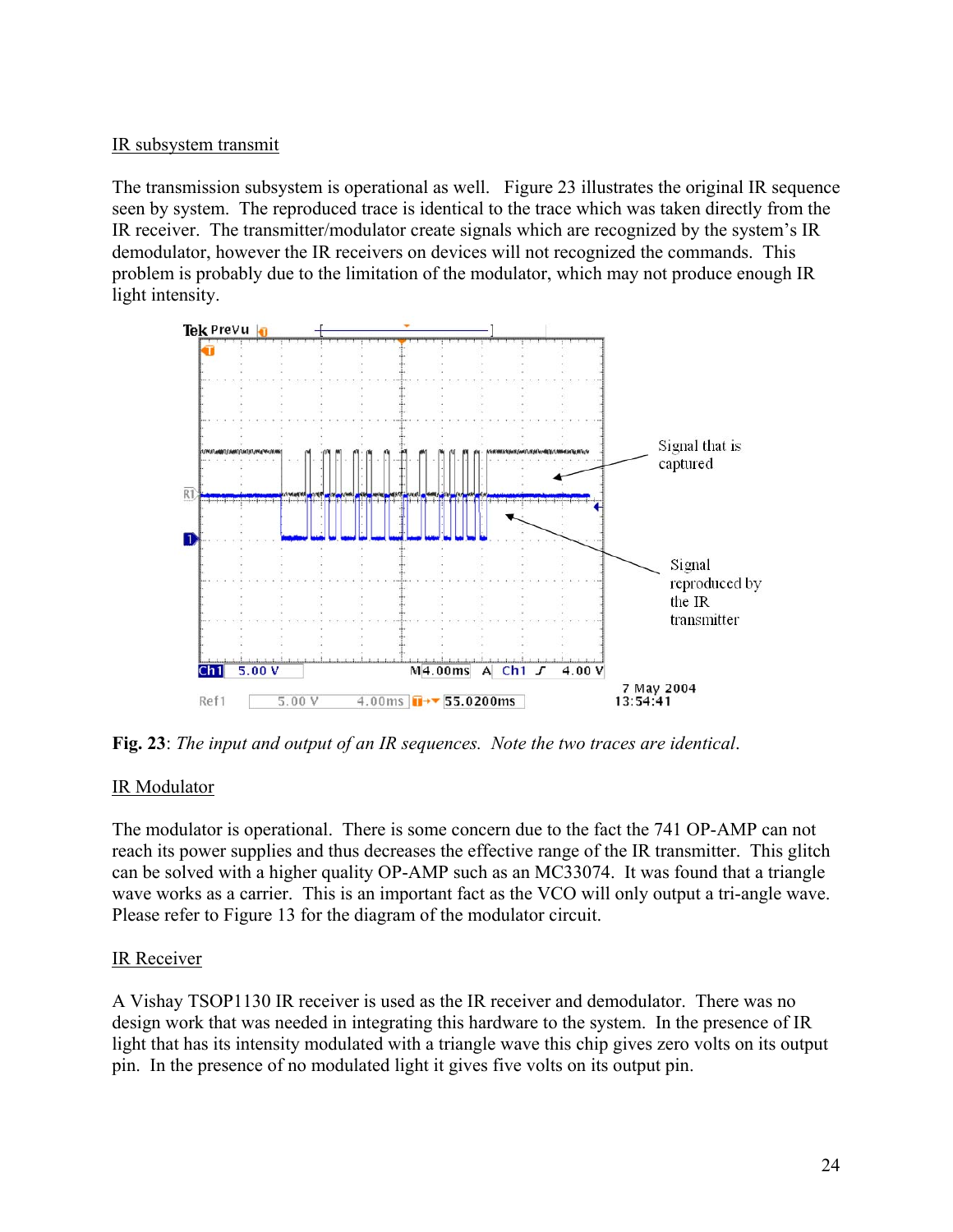# IR subsystem transmit

The transmission subsystem is operational as well. Figure 23 illustrates the original IR sequence seen by system. The reproduced trace is identical to the trace which was taken directly from the IR receiver. The transmitter/modulator create signals which are recognized by the system's IR demodulator, however the IR receivers on devices will not recognized the commands. This problem is probably due to the limitation of the modulator, which may not produce enough IR light intensity.



**Fig. 23**: *The input and output of an IR sequences. Note the two traces are identical*.

# IR Modulator

The modulator is operational. There is some concern due to the fact the 741 OP-AMP can not reach its power supplies and thus decreases the effective range of the IR transmitter. This glitch can be solved with a higher quality OP-AMP such as an MC33074. It was found that a triangle wave works as a carrier. This is an important fact as the VCO will only output a tri-angle wave. Please refer to Figure 13 for the diagram of the modulator circuit.

# IR Receiver

A Vishay TSOP1130 IR receiver is used as the IR receiver and demodulator. There was no design work that was needed in integrating this hardware to the system. In the presence of IR light that has its intensity modulated with a triangle wave this chip gives zero volts on its output pin. In the presence of no modulated light it gives five volts on its output pin.